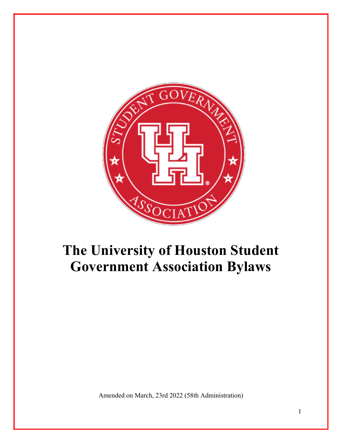

# **The University of Houston Student Government Association Bylaws**

Amended on March, 23rd 2022 (58th Administration)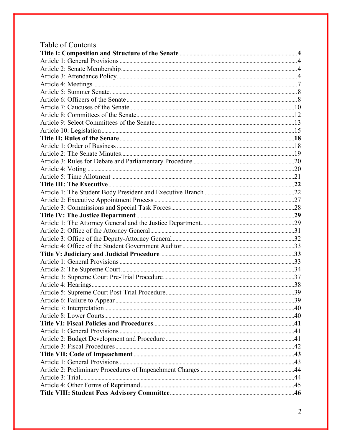| Table of Contents |    |
|-------------------|----|
|                   |    |
|                   |    |
|                   |    |
|                   |    |
|                   |    |
|                   |    |
|                   |    |
|                   |    |
|                   |    |
|                   |    |
|                   |    |
|                   |    |
|                   |    |
|                   |    |
|                   |    |
|                   |    |
|                   |    |
|                   |    |
|                   |    |
|                   |    |
|                   |    |
|                   |    |
|                   |    |
|                   |    |
|                   |    |
|                   |    |
|                   |    |
|                   |    |
|                   |    |
|                   |    |
|                   |    |
|                   | 39 |
|                   |    |
|                   |    |
|                   |    |
|                   |    |
|                   |    |
|                   |    |
|                   |    |
|                   |    |
|                   |    |
|                   |    |
|                   |    |
|                   |    |
|                   |    |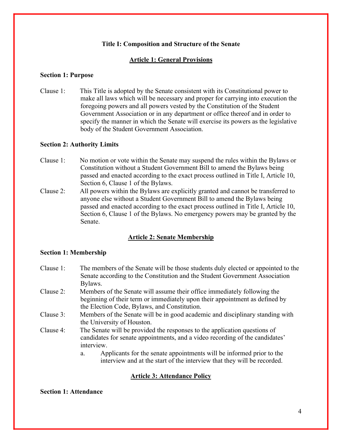## **Title I: Composition and Structure of the Senate**

# **Article 1: General Provisions**

#### **Section 1: Purpose**

Clause 1: This Title is adopted by the Senate consistent with its Constitutional power to make all laws which will be necessary and proper for carrying into execution the foregoing powers and all powers vested by the Constitution of the Student Government Association or in any department or office thereof and in order to specify the manner in which the Senate will exercise its powers as the legislative body of the Student Government Association.

## **Section 2: Authority Limits**

- Clause 1: No motion or vote within the Senate may suspend the rules within the Bylaws or Constitution without a Student Government Bill to amend the Bylaws being passed and enacted according to the exact process outlined in Title I, Article 10, Section 6, Clause 1 of the Bylaws.
- Clause 2: All powers within the Bylaws are explicitly granted and cannot be transferred to anyone else without a Student Government Bill to amend the Bylaws being passed and enacted according to the exact process outlined in Title I, Article 10, Section 6, Clause 1 of the Bylaws. No emergency powers may be granted by the Senate.

## **Article 2: Senate Membership**

## **Section 1: Membership**

- Clause 1: The members of the Senate will be those students duly elected or appointed to the Senate according to the Constitution and the Student Government Association Bylaws.
- Clause 2: Members of the Senate will assume their office immediately following the beginning of their term or immediately upon their appointment as defined by the Election Code, Bylaws, and Constitution.
- Clause 3: Members of the Senate will be in good academic and disciplinary standing with the University of Houston.
- Clause 4: The Senate will be provided the responses to the application questions of candidates for senate appointments, and a video recording of the candidates' interview.
	- a. Applicants for the senate appointments will be informed prior to the interview and at the start of the interview that they will be recorded.

## **Article 3: Attendance Policy**

# **Section 1: Attendance**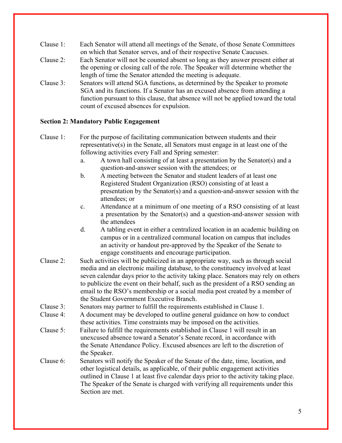- Clause 1: Each Senator will attend all meetings of the Senate, of those Senate Committees on which that Senator serves, and of their respective Senate Caucuses.
- Clause 2: Each Senator will not be counted absent so long as they answer present either at the opening or closing call of the role. The Speaker will determine whether the length of time the Senator attended the meeting is adequate.
- Clause 3: Senators will attend SGA functions, as determined by the Speaker to promote SGA and its functions. If a Senator has an excused absence from attending a function pursuant to this clause, that absence will not be applied toward the total count of excused absences for expulsion.

#### **Section 2: Mandatory Public Engagement**

- Clause 1: For the purpose of facilitating communication between students and their representative(s) in the Senate, all Senators must engage in at least one of the following activities every Fall and Spring semester:
	- a. A town hall consisting of at least a presentation by the Senator(s) and a question-and-answer session with the attendees; or
	- b. A meeting between the Senator and student leaders of at least one Registered Student Organization (RSO) consisting of at least a presentation by the Senator(s) and a question-and-answer session with the attendees; or
	- c. Attendance at a minimum of one meeting of a RSO consisting of at least a presentation by the Senator(s) and a question-and-answer session with the attendees
	- d. A tabling event in either a centralized location in an academic building on campus or in a centralized communal location on campus that includes an activity or handout pre-approved by the Speaker of the Senate to engage constituents and encourage participation.
- Clause 2: Such activities will be publicized in an appropriate way, such as through social media and an electronic mailing database, to the constituency involved at least seven calendar days prior to the activity taking place. Senators may rely on others to publicize the event on their behalf, such as the president of a RSO sending an email to the RSO's membership or a social media post created by a member of the Student Government Executive Branch.
- Clause 3: Senators may partner to fulfill the requirements established in Clause 1.
- Clause 4: A document may be developed to outline general guidance on how to conduct these activities. Time constraints may be imposed on the activities.
- Clause 5: Failure to fulfill the requirements established in Clause 1 will result in an unexcused absence toward a Senator's Senate record, in accordance with the Senate Attendance Policy. Excused absences are left to the discretion of the Speaker.
- Clause 6: Senators will notify the Speaker of the Senate of the date, time, location, and other logistical details, as applicable, of their public engagement activities outlined in Clause 1 at least five calendar days prior to the activity taking place. The Speaker of the Senate is charged with verifying all requirements under this Section are met.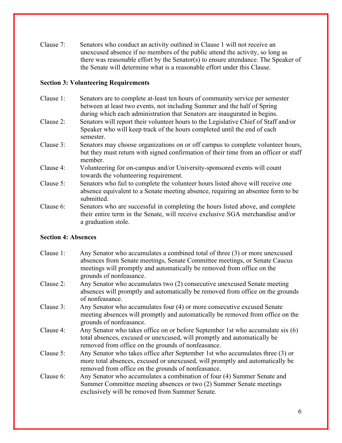Clause 7: Senators who conduct an activity outlined in Clause 1 will not receive an unexcused absence if no members of the public attend the activity, so long as there was reasonable effort by the Senator(s) to ensure attendance. The Speaker of the Senate will determine what is a reasonable effort under this Clause.

## **Section 3: Volunteering Requirements**

- Clause 1: Senators are to complete at-least ten hours of community service per semester between at least two events, not including Summer and the half of Spring during which each administration that Senators are inaugurated in begins.
- Clause 2: Senators will report their volunteer hours to the Legislative Chief of Staff and/or Speaker who will keep track of the hours completed until the end of each semester.
- Clause 3: Senators may choose organizations on or off campus to complete volunteer hours, but they must return with signed confirmation of their time from an officer or staff member.
- Clause 4: Volunteering for on-campus and/or University-sponsored events will count towards the volunteering requirement.
- Clause 5: Senators who fail to complete the volunteer hours listed above will receive one absence equivalent to a Senate meeting absence, requiring an absentee form to be submitted.
- Clause 6: Senators who are successful in completing the hours listed above, and complete their entire term in the Senate, will receive exclusive SGA merchandise and/or a graduation stole.

# **Section 4: Absences**

- Clause 1: Any Senator who accumulates a combined total of three (3) or more unexcused absences from Senate meetings, Senate Committee meetings, or Senate Caucus meetings will promptly and automatically be removed from office on the grounds of nonfeasance.
- Clause 2: Any Senator who accumulates two (2) consecutive unexcused Senate meeting absences will promptly and automatically be removed from office on the grounds of nonfeasance.
- Clause 3: Any Senator who accumulates four (4) or more consecutive excused Senate meeting absences will promptly and automatically be removed from office on the grounds of nonfeasance.
- Clause 4: Any Senator who takes office on or before September 1st who accumulate six (6) total absences, excused or unexcused, will promptly and automatically be removed from office on the grounds of nonfeasance.
- Clause 5: Any Senator who takes office after September 1st who accumulates three (3) or more total absences, excused or unexcused, will promptly and automatically be removed from office on the grounds of nonfeasance.
- Clause 6: Any Senator who accumulates a combination of four (4) Summer Senate and Summer Committee meeting absences or two (2) Summer Senate meetings exclusively will be removed from Summer Senate.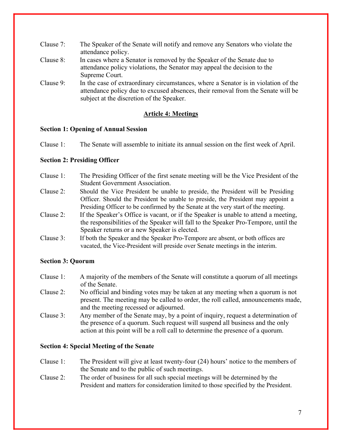- Clause 7: The Speaker of the Senate will notify and remove any Senators who violate the attendance policy.
- Clause 8: In cases where a Senator is removed by the Speaker of the Senate due to attendance policy violations, the Senator may appeal the decision to the Supreme Court.
- Clause 9: In the case of extraordinary circumstances, where a Senator is in violation of the attendance policy due to excused absences, their removal from the Senate will be subject at the discretion of the Speaker.

# **Article 4: Meetings**

## **Section 1: Opening of Annual Session**

Clause 1: The Senate will assemble to initiate its annual session on the first week of April.

# **Section 2: Presiding Officer**

- Clause 1: The Presiding Officer of the first senate meeting will be the Vice President of the Student Government Association.
- Clause 2: Should the Vice President be unable to preside, the President will be Presiding Officer. Should the President be unable to preside, the President may appoint a Presiding Officer to be confirmed by the Senate at the very start of the meeting.
- Clause 2: If the Speaker's Office is vacant, or if the Speaker is unable to attend a meeting, the responsibilities of the Speaker will fall to the Speaker Pro-Tempore, until the Speaker returns or a new Speaker is elected.
- Clause 3: If both the Speaker and the Speaker Pro-Tempore are absent, or both offices are vacated, the Vice-President will preside over Senate meetings in the interim.

# **Section 3: Quorum**

- Clause 1: A majority of the members of the Senate will constitute a quorum of all meetings of the Senate.
- Clause 2: No official and binding votes may be taken at any meeting when a quorum is not present. The meeting may be called to order, the roll called, announcements made, and the meeting recessed or adjourned.
- Clause 3: Any member of the Senate may, by a point of inquiry, request a determination of the presence of a quorum. Such request will suspend all business and the only action at this point will be a roll call to determine the presence of a quorum.

## **Section 4: Special Meeting of the Senate**

- Clause 1: The President will give at least twenty-four (24) hours' notice to the members of the Senate and to the public of such meetings.
- Clause 2: The order of business for all such special meetings will be determined by the President and matters for consideration limited to those specified by the President.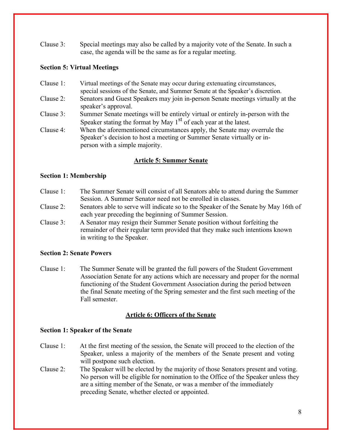Clause 3: Special meetings may also be called by a majority vote of the Senate. In such a case, the agenda will be the same as for a regular meeting.

## **Section 5: Virtual Meetings**

Clause 1: Virtual meetings of the Senate may occur during extenuating circumstances, special sessions of the Senate, and Summer Senate at the Speaker's discretion. Clause 2: Senators and Guest Speakers may join in-person Senate meetings virtually at the speaker's approval. Clause 3: Summer Senate meetings will be entirely virtual or entirely in-person with the Speaker stating the format by May  $1<sup>st</sup>$  of each year at the latest. Clause 4: When the aforementioned circumstances apply, the Senate may overrule the Speaker's decision to host a meeting or Summer Senate virtually or inperson with a simple majority.

# **Article 5: Summer Senate**

## **Section 1: Membership**

- Clause 1: The Summer Senate will consist of all Senators able to attend during the Summer Session. A Summer Senator need not be enrolled in classes.
- Clause 2: Senators able to serve will indicate so to the Speaker of the Senate by May 16th of each year preceding the beginning of Summer Session.
- Clause 3: A Senator may resign their Summer Senate position without forfeiting the remainder of their regular term provided that they make such intentions known in writing to the Speaker.

# **Section 2: Senate Powers**

Clause 1: The Summer Senate will be granted the full powers of the Student Government Association Senate for any actions which are necessary and proper for the normal functioning of the Student Government Association during the period between the final Senate meeting of the Spring semester and the first such meeting of the Fall semester.

# **Article 6: Officers of the Senate**

## **Section 1: Speaker of the Senate**

- Clause 1: At the first meeting of the session, the Senate will proceed to the election of the Speaker, unless a majority of the members of the Senate present and voting will postpone such election.
- Clause 2: The Speaker will be elected by the majority of those Senators present and voting. No person will be eligible for nomination to the Office of the Speaker unless they are a sitting member of the Senate, or was a member of the immediately preceding Senate, whether elected or appointed.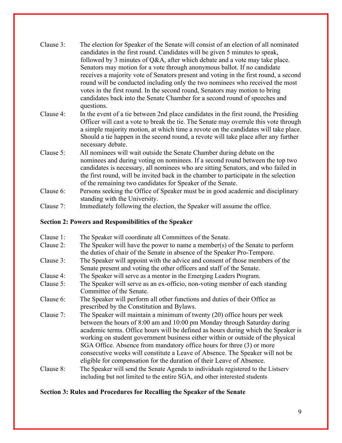| Clause 3:                       | The election for Speaker of the Senate will consist of an election of all nominated<br>candidates in the first round. Candidates will be given 5 minutes to speak,<br>followed by 3 minutes of Q&A, after which debate and a vote may take place.<br>Senators may motion for a vote through anonymous ballot. If no candidate<br>receives a majority vote of Senators present and voting in the first round, a second<br>round will be conducted including only the two nominees who received the most<br>votes in the first round. In the second round, Senators may motion to bring<br>candidates back into the Senate Chamber for a second round of speeches and<br>questions. |
|---------------------------------|-----------------------------------------------------------------------------------------------------------------------------------------------------------------------------------------------------------------------------------------------------------------------------------------------------------------------------------------------------------------------------------------------------------------------------------------------------------------------------------------------------------------------------------------------------------------------------------------------------------------------------------------------------------------------------------|
| Clause 4:                       | In the event of a tie between 2nd place candidates in the first round, the Presiding<br>Officer will cast a vote to break the tie. The Senate may overrule this vote through<br>a simple majority motion, at which time a revote on the candidates will take place.<br>Should a tie happen in the second round, a revote will take place after any further<br>necessary debate.                                                                                                                                                                                                                                                                                                   |
| Clause 5:                       | All nominees will wait outside the Senate Chamber during debate on the<br>nominees and during voting on nominees. If a second round between the top two<br>candidates is necessary, all nominees who are sitting Senators, and who failed in<br>the first round, will be invited back in the chamber to participate in the selection<br>of the remaining two candidates for Speaker of the Senate.                                                                                                                                                                                                                                                                                |
| Clause 6:                       | Persons seeking the Office of Speaker must be in good academic and disciplinary<br>standing with the University.                                                                                                                                                                                                                                                                                                                                                                                                                                                                                                                                                                  |
| Clause 7:                       | Immediately following the election, the Speaker will assume the office.                                                                                                                                                                                                                                                                                                                                                                                                                                                                                                                                                                                                           |
|                                 | <b>Section 2: Powers and Responsibilities of the Speaker</b>                                                                                                                                                                                                                                                                                                                                                                                                                                                                                                                                                                                                                      |
| Clause 1:<br>$C_{\text{plane}}$ | The Speaker will coordinate all Committees of the Senate.<br>The Speaker will have the power to name a member(s) of the Sepate to perform                                                                                                                                                                                                                                                                                                                                                                                                                                                                                                                                         |

- Clause 2: The Speaker will have the power to name a member(s) of the Senate to perform the duties of chair of the Senate in absence of the Speaker Pro-Tempore.
- Clause 3: The Speaker will appoint with the advice and consent of those members of the Senate present and voting the other officers and staff of the Senate.
- Clause 4: The Speaker will serve as a mentor in the Emerging Leaders Program.
- Clause 5: The Speaker will serve as an ex-officio, non-voting member of each standing Committee of the Senate.
- Clause 6: The Speaker will perform all other functions and duties of their Office as prescribed by the Constitution and Bylaws.
- Clause 7: The Speaker will maintain a minimum of twenty (20) office hours per week between the hours of 8:00 am and 10:00 pm Monday through Saturday during academic terms. Office hours will be defined as hours during which the Speaker is working on student government business either within or outside of the physical SGA Office. Absence from mandatory office hours for three (3) or more consecutive weeks will constitute a Leave of Absence. The Speaker will not be eligible for compensation for the duration of their Leave of Absence.
- Clause 8: The Speaker will send the Senate Agenda to individuals registered to the Listserv including but not limited to the entire SGA, and other interested students

# **Section 3: Rules and Procedures for Recalling the Speaker of the Senate**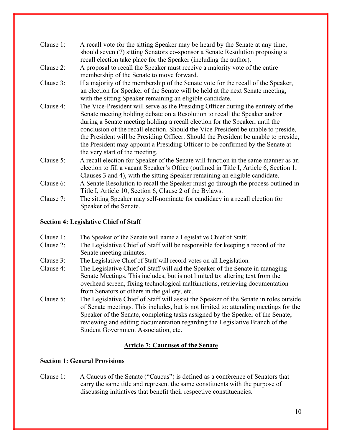| Clause 1: | A recall vote for the sitting Speaker may be heard by the Senate at any time,<br>should seven (7) sitting Senators co-sponsor a Senate Resolution proposing a<br>recall election take place for the Speaker (including the author).                                                                                                                                                                                                                                                                                                              |
|-----------|--------------------------------------------------------------------------------------------------------------------------------------------------------------------------------------------------------------------------------------------------------------------------------------------------------------------------------------------------------------------------------------------------------------------------------------------------------------------------------------------------------------------------------------------------|
| Clause 2: | A proposal to recall the Speaker must receive a majority vote of the entire<br>membership of the Senate to move forward.                                                                                                                                                                                                                                                                                                                                                                                                                         |
| Clause 3: | If a majority of the membership of the Senate vote for the recall of the Speaker,<br>an election for Speaker of the Senate will be held at the next Senate meeting,<br>with the sitting Speaker remaining an eligible candidate.                                                                                                                                                                                                                                                                                                                 |
| Clause 4: | The Vice-President will serve as the Presiding Officer during the entirety of the<br>Senate meeting holding debate on a Resolution to recall the Speaker and/or<br>during a Senate meeting holding a recall election for the Speaker, until the<br>conclusion of the recall election. Should the Vice President be unable to preside,<br>the President will be Presiding Officer. Should the President be unable to preside,<br>the President may appoint a Presiding Officer to be confirmed by the Senate at<br>the very start of the meeting. |
| Clause 5: | A recall election for Speaker of the Senate will function in the same manner as an<br>election to fill a vacant Speaker's Office (outlined in Title I, Article 6, Section 1,<br>Clauses 3 and 4), with the sitting Speaker remaining an eligible candidate.                                                                                                                                                                                                                                                                                      |
| Clause 6: | A Senate Resolution to recall the Speaker must go through the process outlined in<br>Title I, Article 10, Section 6, Clause 2 of the Bylaws.                                                                                                                                                                                                                                                                                                                                                                                                     |
| Clause 7: | The sitting Speaker may self-nominate for candidacy in a recall election for<br>Speaker of the Senate.                                                                                                                                                                                                                                                                                                                                                                                                                                           |

# **Section 4: Legislative Chief of Staff**

| Clause 1: | The Speaker of the Senate will name a Legislative Chief of Staff. |  |
|-----------|-------------------------------------------------------------------|--|
|           |                                                                   |  |

- Clause 2: The Legislative Chief of Staff will be responsible for keeping a record of the Senate meeting minutes.
- Clause 3: The Legislative Chief of Staff will record votes on all Legislation.
- Clause 4: The Legislative Chief of Staff will aid the Speaker of the Senate in managing Senate Meetings. This includes, but is not limited to: altering text from the overhead screen, fixing technological malfunctions, retrieving documentation from Senators or others in the gallery, etc.
- Clause 5: The Legislative Chief of Staff will assist the Speaker of the Senate in roles outside of Senate meetings. This includes, but is not limited to: attending meetings for the Speaker of the Senate, completing tasks assigned by the Speaker of the Senate, reviewing and editing documentation regarding the Legislative Branch of the Student Government Association, etc.

## **Article 7: Caucuses of the Senate**

## **Section 1: General Provisions**

Clause 1: A Caucus of the Senate ("Caucus") is defined as a conference of Senators that carry the same title and represent the same constituents with the purpose of discussing initiatives that benefit their respective constituencies.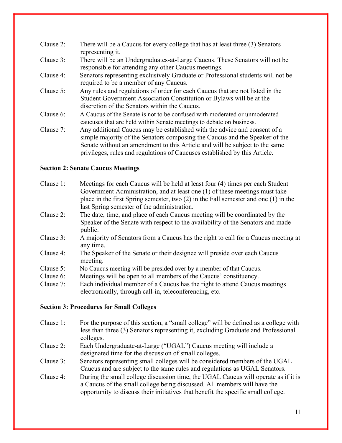| Clause 2: | There will be a Caucus for every college that has at least three (3) Senators<br>representing it.                                                                                                      |
|-----------|--------------------------------------------------------------------------------------------------------------------------------------------------------------------------------------------------------|
| Clause 3: | There will be an Undergraduates-at-Large Caucus. These Senators will not be<br>responsible for attending any other Caucus meetings.                                                                    |
| Clause 4: | Senators representing exclusively Graduate or Professional students will not be<br>required to be a member of any Caucus.                                                                              |
| Clause 5: | Any rules and regulations of order for each Caucus that are not listed in the<br>Student Government Association Constitution or Bylaws will be at the<br>discretion of the Senators within the Caucus. |
| Clause 6: | A Caucus of the Senate is not to be confused with moderated or unmoderated<br>caucuses that are held within Senate meetings to debate on business.                                                     |
| Clause 7: | Any additional Caucus may be established with the advice and consent of a<br>simple majority of the Senators composing the Caucus and the Speaker of the                                               |

simple majority of the Senators composing the Caucus and the Speaker of the Senate without an amendment to this Article and will be subject to the same privileges, rules and regulations of Caucuses established by this Article.

# **Section 2: Senate Caucus Meetings**

| Clause 1: | Meetings for each Caucus will be held at least four (4) times per each Student<br>Government Administration, and at least one (1) of these meetings must take |
|-----------|---------------------------------------------------------------------------------------------------------------------------------------------------------------|
|           | place in the first Spring semester, two $(2)$ in the Fall semester and one $(1)$ in the                                                                       |
|           | last Spring semester of the administration.                                                                                                                   |
| Clause 2: | The date, time, and place of each Caucus meeting will be coordinated by the                                                                                   |
|           | Speaker of the Senate with respect to the availability of the Senators and made<br>public.                                                                    |
| Clause 3: | A majority of Senators from a Caucus has the right to call for a Caucus meeting at<br>any time.                                                               |
| Clause 4: | The Speaker of the Senate or their designee will preside over each Caucus<br>meeting.                                                                         |
| Clause 5: | No Caucus meeting will be presided over by a member of that Caucus.                                                                                           |
| Clause 6: | Meetings will be open to all members of the Caucus' constituency.                                                                                             |
| Clause 7: | Each individual member of a Caucus has the right to attend Caucus meetings<br>electronically, through call-in, teleconferencing, etc.                         |
|           |                                                                                                                                                               |

# **Section 3: Procedures for Small Colleges**

- Clause 1: For the purpose of this section, a "small college" will be defined as a college with less than three (3) Senators representing it, excluding Graduate and Professional colleges.
- Clause 2: Each Undergraduate-at-Large ("UGAL") Caucus meeting will include a designated time for the discussion of small colleges.

Clause 3: Senators representing small colleges will be considered members of the UGAL Caucus and are subject to the same rules and regulations as UGAL Senators.

Clause 4: During the small college discussion time, the UGAL Caucus will operate as if it is a Caucus of the small college being discussed. All members will have the opportunity to discuss their initiatives that benefit the specific small college.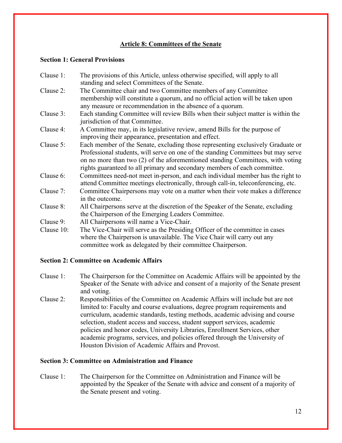# **Article 8: Committees of the Senate**

## **Section 1: General Provisions**

| Clause 1:  | The provisions of this Article, unless otherwise specified, will apply to all                                                      |
|------------|------------------------------------------------------------------------------------------------------------------------------------|
|            | standing and select Committees of the Senate.                                                                                      |
| Clause 2:  | The Committee chair and two Committee members of any Committee                                                                     |
|            | membership will constitute a quorum, and no official action will be taken upon                                                     |
|            | any measure or recommendation in the absence of a quorum.                                                                          |
| Clause 3:  | Each standing Committee will review Bills when their subject matter is within the<br>jurisdiction of that Committee.               |
| Clause 4:  | A Committee may, in its legislative review, amend Bills for the purpose of<br>improving their appearance, presentation and effect. |
| Clause 5:  | Each member of the Senate, excluding those representing exclusively Graduate or                                                    |
|            | Professional students, will serve on one of the standing Committees but may serve                                                  |
|            | on no more than two (2) of the aforementioned standing Committees, with voting                                                     |
|            | rights guaranteed to all primary and secondary members of each committee.                                                          |
| Clause 6:  | Committees need-not meet in-person, and each individual member has the right to                                                    |
|            | attend Committee meetings electronically, through call-in, teleconferencing, etc.                                                  |
| Clause 7:  | Committee Chairpersons may vote on a matter when their vote makes a difference                                                     |
|            | in the outcome.                                                                                                                    |
| Clause 8:  | All Chairpersons serve at the discretion of the Speaker of the Senate, excluding                                                   |
|            | the Chairperson of the Emerging Leaders Committee.                                                                                 |
| Clause 9:  | All Chairpersons will name a Vice-Chair.                                                                                           |
| Clause 10: | The Vice-Chair will serve as the Presiding Officer of the committee in cases                                                       |
|            | where the Chairperson is unavailable. The Vice Chair will carry out any                                                            |
|            | committee work as delegated by their committee Chairperson.                                                                        |

## **Section 2: Committee on Academic Affairs**

- Clause 1: The Chairperson for the Committee on Academic Affairs will be appointed by the Speaker of the Senate with advice and consent of a majority of the Senate present and voting.
- Clause 2: Responsibilities of the Committee on Academic Affairs will include but are not limited to: Faculty and course evaluations, degree program requirements and curriculum, academic standards, testing methods, academic advising and course selection, student access and success, student support services, academic policies and honor codes, University Libraries, Enrollment Services, other academic programs, services, and policies offered through the University of Houston Division of Academic Affairs and Provost.

## **Section 3: Committee on Administration and Finance**

Clause 1: The Chairperson for the Committee on Administration and Finance will be appointed by the Speaker of the Senate with advice and consent of a majority of the Senate present and voting.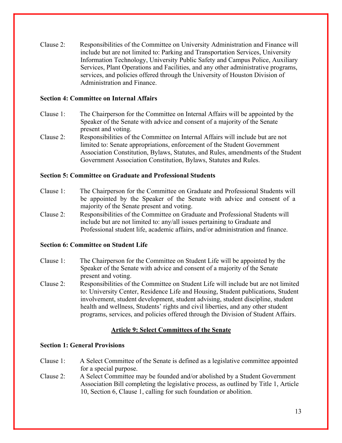Clause 2: Responsibilities of the Committee on University Administration and Finance will include but are not limited to: Parking and Transportation Services, University Information Technology, University Public Safety and Campus Police, Auxiliary Services, Plant Operations and Facilities, and any other administrative programs, services, and policies offered through the University of Houston Division of Administration and Finance.

## **Section 4: Committee on Internal Affairs**

- Clause 1: The Chairperson for the Committee on Internal Affairs will be appointed by the Speaker of the Senate with advice and consent of a majority of the Senate present and voting.
- Clause 2: Responsibilities of the Committee on Internal Affairs will include but are not limited to: Senate appropriations, enforcement of the Student Government Association Constitution, Bylaws, Statutes, and Rules, amendments of the Student Government Association Constitution, Bylaws, Statutes and Rules.

# **Section 5: Committee on Graduate and Professional Students**

- Clause 1: The Chairperson for the Committee on Graduate and Professional Students will be appointed by the Speaker of the Senate with advice and consent of a majority of the Senate present and voting.
- Clause 2: Responsibilities of the Committee on Graduate and Professional Students will include but are not limited to: any/all issues pertaining to Graduate and Professional student life, academic affairs, and/or administration and finance.

## **Section 6: Committee on Student Life**

- Clause 1: The Chairperson for the Committee on Student Life will be appointed by the Speaker of the Senate with advice and consent of a majority of the Senate present and voting.
- Clause 2: Responsibilities of the Committee on Student Life will include but are not limited to: University Center, Residence Life and Housing, Student publications, Student involvement, student development, student advising, student discipline, student health and wellness, Students' rights and civil liberties, and any other student programs, services, and policies offered through the Division of Student Affairs.

# **Article 9: Select Committees of the Senate**

# **Section 1: General Provisions**

- Clause 1: A Select Committee of the Senate is defined as a legislative committee appointed for a special purpose.
- Clause 2: A Select Committee may be founded and/or abolished by a Student Government Association Bill completing the legislative process, as outlined by Title 1, Article 10, Section 6, Clause 1, calling for such foundation or abolition.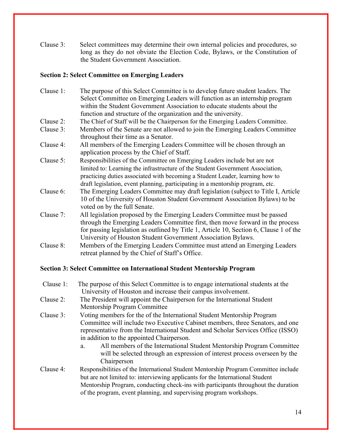Clause 3: Select committees may determine their own internal policies and procedures, so long as they do not obviate the Election Code, Bylaws, or the Constitution of the Student Government Association.

# **Section 2: Select Committee on Emerging Leaders**

| Clause 1: | The purpose of this Select Committee is to develop future student leaders. The                                                                         |
|-----------|--------------------------------------------------------------------------------------------------------------------------------------------------------|
|           | Select Committee on Emerging Leaders will function as an internship program<br>within the Student Government Association to educate students about the |
|           |                                                                                                                                                        |
|           | function and structure of the organization and the university.                                                                                         |
| Clause 2: | The Chief of Staff will be the Chairperson for the Emerging Leaders Committee.                                                                         |
| Clause 3: | Members of the Senate are not allowed to join the Emerging Leaders Committee                                                                           |
|           | throughout their time as a Senator.                                                                                                                    |
| Clause 4: | All members of the Emerging Leaders Committee will be chosen through an                                                                                |
|           | application process by the Chief of Staff.                                                                                                             |
| Clause 5: | Responsibilities of the Committee on Emerging Leaders include but are not                                                                              |
|           | limited to: Learning the infrastructure of the Student Government Association,                                                                         |
|           | practicing duties associated with becoming a Student Leader, learning how to                                                                           |
|           | draft legislation, event planning, participating in a mentorship program, etc.                                                                         |
| Clause 6: | The Emerging Leaders Committee may draft legislation (subject to Title I, Article                                                                      |
|           | 10 of the University of Houston Student Government Association Bylaws) to be                                                                           |
|           | voted on by the full Senate.                                                                                                                           |
| Clause 7: | All legislation proposed by the Emerging Leaders Committee must be passed                                                                              |
|           | through the Emerging Leaders Committee first, then move forward in the process                                                                         |
|           | for passing legislation as outlined by Title 1, Article 10, Section 6, Clause 1 of the                                                                 |
|           | University of Houston Student Government Association Bylaws.                                                                                           |
| Clause 8: | Members of the Emerging Leaders Committee must attend an Emerging Leaders                                                                              |
|           | retreat planned by the Chief of Staff's Office.                                                                                                        |

# **Section 3: Select Committee on International Student Mentorship Program**

| Clause 1: | The purpose of this Select Committee is to engage international students at the<br>University of Houston and increase their campus involvement.                                                                                                                                                                                                                         |
|-----------|-------------------------------------------------------------------------------------------------------------------------------------------------------------------------------------------------------------------------------------------------------------------------------------------------------------------------------------------------------------------------|
| Clause 2: | The President will appoint the Chairperson for the International Student<br>Mentorship Program Committee                                                                                                                                                                                                                                                                |
| Clause 3: | Voting members for the of the International Student Mentorship Program<br>Committee will include two Executive Cabinet members, three Senators, and one<br>representative from the International Student and Scholar Services Office (ISSO)<br>in addition to the appointed Chairperson.<br>All members of the International Student Mentorship Program Committee<br>a. |
|           | will be selected through an expression of interest process overseen by the<br>Chairperson                                                                                                                                                                                                                                                                               |
| Clause 4: | Responsibilities of the International Student Mentorship Program Committee include<br>but are not limited to: interviewing applicants for the International Student<br>Mentorship Program, conducting check-ins with participants throughout the duration<br>of the program, event planning, and supervising program workshops.                                         |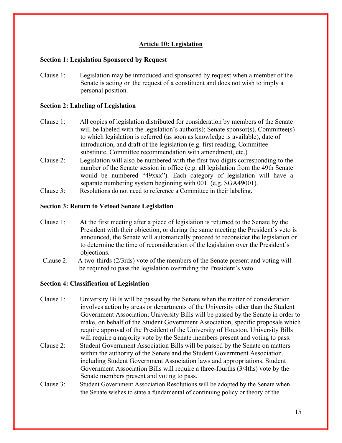# **Article 10: Legislation**

#### **Section 1: Legislation Sponsored by Request**

Clause 1: Legislation may be introduced and sponsored by request when a member of the Senate is acting on the request of a constituent and does not wish to imply a personal position.

#### **Section 2: Labeling of Legislation**

- Clause 1: All copies of legislation distributed for consideration by members of the Senate will be labeled with the legislation's author(s); Senate sponsor(s), Committee(s) to which legislation is referred (as soon as knowledge is available), date of introduction, and draft of the legislation (e.g. first reading, Committee substitute, Committee recommendation with amendment, etc.)
- Clause 2: Legislation will also be numbered with the first two digits corresponding to the number of the Senate session in office (e.g. all legislation from the 49th Senate would be numbered "49xxx"). Each category of legislation will have a separate numbering system beginning with 001. (e.g. SGA49001).
- Clause 3: Resolutions do not need to reference a Committee in their labeling.

#### **Section 3: Return to Vetoed Senate Legislation**

- Clause 1: At the first meeting after a piece of legislation is returned to the Senate by the President with their objection, or during the same meeting the President's veto is announced, the Senate will automatically proceed to reconsider the legislation or to determine the time of reconsideration of the legislation over the President's objections.
- Clause 2: A two-thirds (2/3rds) vote of the members of the Senate present and voting will be required to pass the legislation overriding the President's veto.

#### **Section 4: Classification of Legislation**

- Clause 1: University Bills will be passed by the Senate when the matter of consideration involves action by areas or departments of the University other than the Student Government Association; University Bills will be passed by the Senate in order to make, on behalf of the Student Government Association, specific proposals which require approval of the President of the University of Houston. University Bills will require a majority vote by the Senate members present and voting to pass.
- Clause 2: Student Government Association Bills will be passed by the Senate on matters within the authority of the Senate and the Student Government Association, including Student Government Association laws and appropriations. Student Government Association Bills will require a three-fourths (3/4ths) vote by the Senate members present and voting to pass.
- Clause 3: Student Government Association Resolutions will be adopted by the Senate when the Senate wishes to state a fundamental of continuing policy or theory of the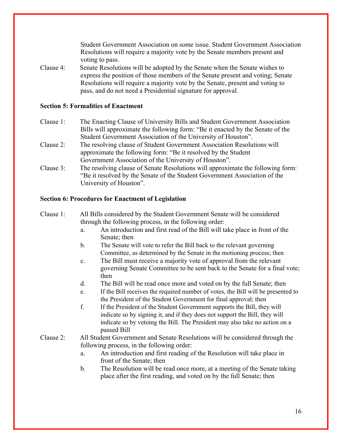Student Government Association on some issue. Student Government Association Resolutions will require a majority vote by the Senate members present and voting to pass.

Clause 4: Senate Resolutions will be adopted by the Senate when the Senate wishes to express the position of those members of the Senate present and voting; Senate Resolutions will require a majority vote by the Senate, present and voting to pass, and do not need a Presidential signature for approval.

#### **Section 5: Formalities of Enactment**

- Clause 1: The Enacting Clause of University Bills and Student Government Association Bills will approximate the following form: "Be it enacted by the Senate of the Student Government Association of the University of Houston".
- Clause 2: The resolving clause of Student Government Association Resolutions will approximate the following form: "Be it resolved by the Student Government Association of the University of Houston".
- Clause 3: The resolving clause of Senate Resolutions will approximate the following form: "Be it resolved by the Senate of the Student Government Association of the University of Houston".

#### **Section 6: Procedures for Enactment of Legislation**

- Clause 1: All Bills considered by the Student Government Senate will be considered through the following process, in the following order:
	- a. An introduction and first read of the Bill will take place in front of the Senate; then
	- b. The Senate will vote to refer the Bill back to the relevant governing Committee, as determined by the Senate in the motioning process; then
	- c. The Bill must receive a majority vote of approval from the relevant governing Senate Committee to be sent back to the Senate for a final vote; then
	- d. The Bill will be read once more and voted on by the full Senate; then
	- e. If the Bill receives the required number of votes, the Bill will be presented to the President of the Student Government for final approval; then
	- f. If the President of the Student Government supports the Bill, they will indicate so by signing it, and if they does not support the Bill, they will indicate so by vetoing the Bill. The President may also take no action on a passed Bill
- Clause 2: All Student Government and Senate Resolutions will be considered through the following process, in the following order:
	- a. An introduction and first reading of the Resolution will take place in front of the Senate; then
	- b. The Resolution will be read once more, at a meeting of the Senate taking place after the first reading, and voted on by the full Senate; then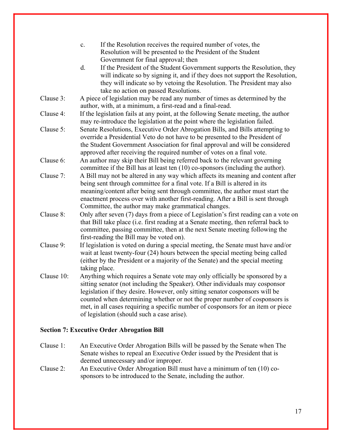|            | If the Resolution receives the required number of votes, the<br>c.<br>Resolution will be presented to the President of the Student<br>Government for final approval; then                                                                                                                                                                                                                                                                                   |
|------------|-------------------------------------------------------------------------------------------------------------------------------------------------------------------------------------------------------------------------------------------------------------------------------------------------------------------------------------------------------------------------------------------------------------------------------------------------------------|
|            | If the President of the Student Government supports the Resolution, they<br>d.<br>will indicate so by signing it, and if they does not support the Resolution,<br>they will indicate so by vetoing the Resolution. The President may also<br>take no action on passed Resolutions.                                                                                                                                                                          |
| Clause 3:  | A piece of legislation may be read any number of times as determined by the<br>author, with, at a minimum, a first-read and a final-read.                                                                                                                                                                                                                                                                                                                   |
| Clause 4:  | If the legislation fails at any point, at the following Senate meeting, the author<br>may re-introduce the legislation at the point where the legislation failed.                                                                                                                                                                                                                                                                                           |
| Clause 5:  | Senate Resolutions, Executive Order Abrogation Bills, and Bills attempting to<br>override a Presidential Veto do not have to be presented to the President of<br>the Student Government Association for final approval and will be considered<br>approved after receiving the required number of votes on a final vote.                                                                                                                                     |
| Clause 6:  | An author may skip their Bill being referred back to the relevant governing<br>committee if the Bill has at least ten (10) co-sponsors (including the author).                                                                                                                                                                                                                                                                                              |
| Clause 7:  | A Bill may not be altered in any way which affects its meaning and content after<br>being sent through committee for a final vote. If a Bill is altered in its<br>meaning/content after being sent through committee, the author must start the<br>enactment process over with another first-reading. After a Bill is sent through<br>Committee, the author may make grammatical changes.                                                                   |
| Clause 8:  | Only after seven (7) days from a piece of Legislation's first reading can a vote on<br>that Bill take place (i.e. first reading at a Senate meeting, then referral back to<br>committee, passing committee, then at the next Senate meeting following the<br>first-reading the Bill may be voted on).                                                                                                                                                       |
| Clause 9:  | If legislation is voted on during a special meeting, the Senate must have and/or<br>wait at least twenty-four (24) hours between the special meeting being called<br>(either by the President or a majority of the Senate) and the special meeting<br>taking place.                                                                                                                                                                                         |
| Clause 10: | Anything which requires a Senate vote may only officially be sponsored by a<br>sitting senator (not including the Speaker). Other individuals may cosponsor<br>legislation if they desire. However, only sitting senator cosponsors will be<br>counted when determining whether or not the proper number of cosponsors is<br>met, in all cases requiring a specific number of cosponsors for an item or piece<br>of legislation (should such a case arise). |

# **Section 7: Executive Order Abrogation Bill**

Clause 1: An Executive Order Abrogation Bills will be passed by the Senate when The Senate wishes to repeal an Executive Order issued by the President that is deemed unnecessary and/or improper.

Clause 2: An Executive Order Abrogation Bill must have a minimum of ten (10) cosponsors to be introduced to the Senate, including the author.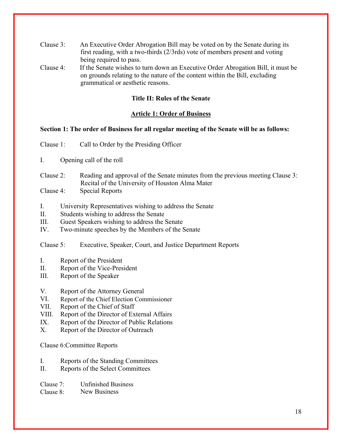- Clause 3: An Executive Order Abrogation Bill may be voted on by the Senate during its first reading, with a two-thirds (2/3rds) vote of members present and voting being required to pass.
- Clause 4: If the Senate wishes to turn down an Executive Order Abrogation Bill, it must be on grounds relating to the nature of the content within the Bill, excluding grammatical or aesthetic reasons.

#### **Title II: Rules of the Senate**

#### **Article 1: Order of Business**

## **Section 1: The order of Business for all regular meeting of the Senate will be as follows:**

- Clause 1: Call to Order by the Presiding Officer
- I. Opening call of the roll
- Clause 2: Reading and approval of the Senate minutes from the previous meeting Clause 3: Recital of the University of Houston Alma Mater
- Clause 4: Special Reports
- I. University Representatives wishing to address the Senate
- II. Students wishing to address the Senate
- III. Guest Speakers wishing to address the Senate
- IV. Two-minute speeches by the Members of the Senate

Clause 5: Executive, Speaker, Court, and Justice Department Reports

- I. Report of the President
- II. Report of the Vice-President
- III. Report of the Speaker
- V. Report of the Attorney General
- VI. Report of the Chief Election Commissioner
- VII. Report of the Chief of Staff
- VIII. Report of the Director of External Affairs
- IX. Report of the Director of Public Relations
- X. Report of the Director of Outreach

Clause 6:Committee Reports

- I. Reports of the Standing Committees
- II. Reports of the Select Committees
- Clause 7: Unfinished Business
- Clause 8: New Business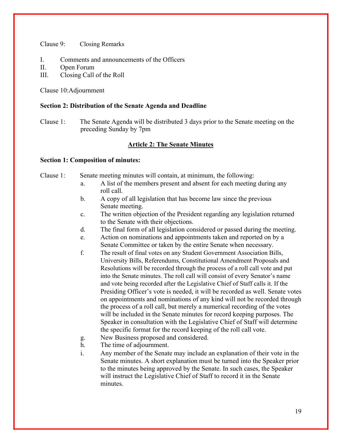Clause 9: Closing Remarks

- I. Comments and announcements of the Officers
- II. Open Forum
- III. Closing Call of the Roll

Clause 10:Adjournment

#### **Section 2: Distribution of the Senate Agenda and Deadline**

Clause 1: The Senate Agenda will be distributed 3 days prior to the Senate meeting on the preceding Sunday by 7pm

#### **Article 2: The Senate Minutes**

#### **Section 1: Composition of minutes:**

Clause 1: Senate meeting minutes will contain, at minimum, the following:

- a. A list of the members present and absent for each meeting during any roll call.
- b. A copy of all legislation that has become law since the previous Senate meeting.
- c. The written objection of the President regarding any legislation returned to the Senate with their objections.
- d. The final form of all legislation considered or passed during the meeting.
- e. Action on nominations and appointments taken and reported on by a Senate Committee or taken by the entire Senate when necessary.
- f. The result of final votes on any Student Government Association Bills, University Bills, Referendums, Constitutional Amendment Proposals and Resolutions will be recorded through the process of a roll call vote and put into the Senate minutes. The roll call will consist of every Senator's name and vote being recorded after the Legislative Chief of Staff calls it. If the Presiding Officer's vote is needed, it will be recorded as well. Senate votes on appointments and nominations of any kind will not be recorded through the process of a roll call, but merely a numerical recording of the votes will be included in the Senate minutes for record keeping purposes. The Speaker in consultation with the Legislative Chief of Staff will determine the specific format for the record keeping of the roll call vote.
- g. New Business proposed and considered.
- h. The time of adjournment.
- i. Any member of the Senate may include an explanation of their vote in the Senate minutes. A short explanation must be turned into the Speaker prior to the minutes being approved by the Senate. In such cases, the Speaker will instruct the Legislative Chief of Staff to record it in the Senate minutes.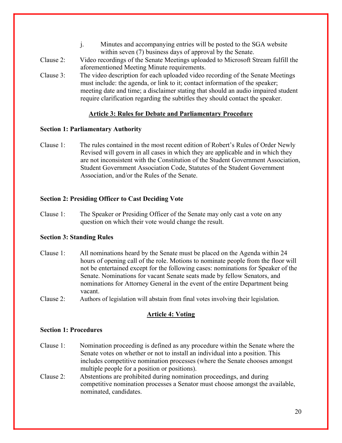- j. Minutes and accompanying entries will be posted to the SGA website within seven (7) business days of approval by the Senate.
- Clause 2: Video recordings of the Senate Meetings uploaded to Microsoft Stream fulfill the aforementioned Meeting Minute requirements.
- Clause 3: The video description for each uploaded video recording of the Senate Meetings must include: the agenda, or link to it; contact information of the speaker; meeting date and time; a disclaimer stating that should an audio impaired student require clarification regarding the subtitles they should contact the speaker.

## **Article 3: Rules for Debate and Parliamentary Procedure**

## **Section 1: Parliamentary Authority**

Clause 1: The rules contained in the most recent edition of Robert's Rules of Order Newly Revised will govern in all cases in which they are applicable and in which they are not inconsistent with the Constitution of the Student Government Association, Student Government Association Code, Statutes of the Student Government Association, and/or the Rules of the Senate.

# **Section 2: Presiding Officer to Cast Deciding Vote**

Clause 1: The Speaker or Presiding Officer of the Senate may only cast a vote on any question on which their vote would change the result.

## **Section 3: Standing Rules**

- Clause 1: All nominations heard by the Senate must be placed on the Agenda within 24 hours of opening call of the role. Motions to nominate people from the floor will not be entertained except for the following cases: nominations for Speaker of the Senate. Nominations for vacant Senate seats made by fellow Senators, and nominations for Attorney General in the event of the entire Department being vacant.
- Clause 2: Authors of legislation will abstain from final votes involving their legislation.

# **Article 4: Voting**

## **Section 1: Procedures**

- Clause 1: Nomination proceeding is defined as any procedure within the Senate where the Senate votes on whether or not to install an individual into a position. This includes competitive nomination processes (where the Senate chooses amongst multiple people for a position or positions).
- Clause 2: Abstentions are prohibited during nomination proceedings, and during competitive nomination processes a Senator must choose amongst the available, nominated, candidates.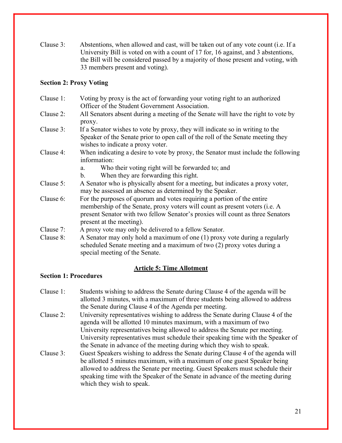Clause 3: Abstentions, when allowed and cast, will be taken out of any vote count (i.e. If a University Bill is voted on with a count of 17 for, 16 against, and 3 abstentions, the Bill will be considered passed by a majority of those present and voting, with 33 members present and voting).

## **Section 2: Proxy Voting**

- Clause 1: Voting by proxy is the act of forwarding your voting right to an authorized Officer of the Student Government Association.
- Clause 2: All Senators absent during a meeting of the Senate will have the right to vote by proxy.
- Clause 3: If a Senator wishes to vote by proxy, they will indicate so in writing to the Speaker of the Senate prior to open call of the roll of the Senate meeting they wishes to indicate a proxy voter.
- Clause 4: When indicating a desire to vote by proxy, the Senator must include the following information:
	- a. Who their voting right will be forwarded to; and
	- b. When they are forwarding this right.
- Clause 5: A Senator who is physically absent for a meeting, but indicates a proxy voter, may be assessed an absence as determined by the Speaker.
- Clause 6: For the purposes of quorum and votes requiring a portion of the entire membership of the Senate, proxy voters will count as present voters (i.e. A present Senator with two fellow Senator's proxies will count as three Senators present at the meeting).
- Clause 7: A proxy vote may only be delivered to a fellow Senator.
- Clause 8: A Senator may only hold a maximum of one (1) proxy vote during a regularly scheduled Senate meeting and a maximum of two (2) proxy votes during a special meeting of the Senate.

## **Article 5: Time Allotment**

## **Section 1: Procedures**

- Clause 1: Students wishing to address the Senate during Clause 4 of the agenda will be allotted 3 minutes, with a maximum of three students being allowed to address the Senate during Clause 4 of the Agenda per meeting.
- Clause 2: University representatives wishing to address the Senate during Clause 4 of the agenda will be allotted 10 minutes maximum, with a maximum of two University representatives being allowed to address the Senate per meeting. University representatives must schedule their speaking time with the Speaker of the Senate in advance of the meeting during which they wish to speak.
- Clause 3: Guest Speakers wishing to address the Senate during Clause 4 of the agenda will be allotted 5 minutes maximum, with a maximum of one guest Speaker being allowed to address the Senate per meeting. Guest Speakers must schedule their speaking time with the Speaker of the Senate in advance of the meeting during which they wish to speak.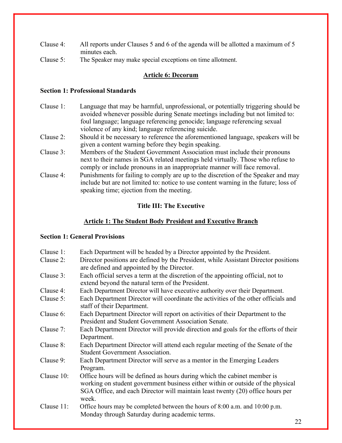- Clause 4: All reports under Clauses 5 and 6 of the agenda will be allotted a maximum of 5 minutes each.
- Clause 5: The Speaker may make special exceptions on time allotment.

# **Article 6: Decorum**

# **Section 1: Professional Standards**

- Clause 1: Language that may be harmful, unprofessional, or potentially triggering should be avoided whenever possible during Senate meetings including but not limited to: foul language; language referencing genocide; language referencing sexual violence of any kind; language referencing suicide.
- Clause 2: Should it be necessary to reference the aforementioned language, speakers will be given a content warning before they begin speaking.
- Clause 3: Members of the Student Government Association must include their pronouns next to their names in SGA related meetings held virtually. Those who refuse to comply or include pronouns in an inappropriate manner will face removal.
- Clause 4: Punishments for failing to comply are up to the discretion of the Speaker and may include but are not limited to: notice to use content warning in the future; loss of speaking time; ejection from the meeting.

# **Title III: The Executive**

# **Article 1: The Student Body President and Executive Branch**

# **Section 1: General Provisions**

| Clause 1:  | Each Department will be headed by a Director appointed by the President.                                                                                                                                                                               |
|------------|--------------------------------------------------------------------------------------------------------------------------------------------------------------------------------------------------------------------------------------------------------|
| Clause 2:  | Director positions are defined by the President, while Assistant Director positions<br>are defined and appointed by the Director.                                                                                                                      |
| Clause 3:  | Each official serves a term at the discretion of the appointing official, not to<br>extend beyond the natural term of the President.                                                                                                                   |
| Clause 4:  | Each Department Director will have executive authority over their Department.                                                                                                                                                                          |
| Clause 5:  | Each Department Director will coordinate the activities of the other officials and<br>staff of their Department.                                                                                                                                       |
| Clause 6:  | Each Department Director will report on activities of their Department to the<br>President and Student Government Association Senate.                                                                                                                  |
| Clause 7:  | Each Department Director will provide direction and goals for the efforts of their<br>Department.                                                                                                                                                      |
| Clause 8:  | Each Department Director will attend each regular meeting of the Senate of the<br><b>Student Government Association.</b>                                                                                                                               |
| Clause 9:  | Each Department Director will serve as a mentor in the Emerging Leaders<br>Program.                                                                                                                                                                    |
| Clause 10: | Office hours will be defined as hours during which the cabinet member is<br>working on student government business either within or outside of the physical<br>SGA Office, and each Director will maintain least twenty (20) office hours per<br>week. |
| Clause 11: | Office hours may be completed between the hours of 8:00 a.m. and 10:00 p.m.<br>Monday through Saturday during academic terms.                                                                                                                          |
|            | 22                                                                                                                                                                                                                                                     |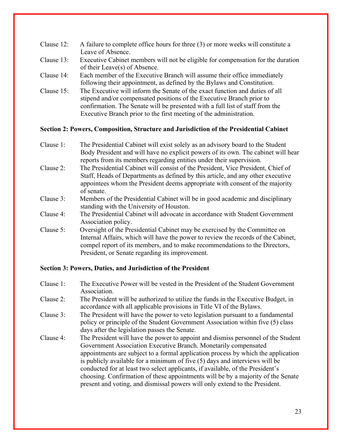- Clause 12: A failure to complete office hours for three (3) or more weeks will constitute a Leave of Absence.
- Clause 13: Executive Cabinet members will not be eligible for compensation for the duration of their Leave(s) of Absence.
- Clause 14: Each member of the Executive Branch will assume their office immediately following their appointment, as defined by the Bylaws and Constitution.
- Clause 15: The Executive will inform the Senate of the exact function and duties of all stipend and/or compensated positions of the Executive Branch prior to confirmation. The Senate will be presented with a full list of staff from the Executive Branch prior to the first meeting of the administration.

## **Section 2: Powers, Composition, Structure and Jurisdiction of the Presidential Cabinet**

- Clause 1: The Presidential Cabinet will exist solely as an advisory board to the Student Body President and will have no explicit powers of its own. The cabinet will hear reports from its members regarding entities under their supervision.
- Clause 2: The Presidential Cabinet will consist of the President, Vice President, Chief of Staff, Heads of Departments as defined by this article, and any other executive appointees whom the President deems appropriate with consent of the majority of senate.
- Clause 3: Members of the Presidential Cabinet will be in good academic and disciplinary standing with the University of Houston.
- Clause 4: The Presidential Cabinet will advocate in accordance with Student Government Association policy.
- Clause 5: Oversight of the Presidential Cabinet may be exercised by the Committee on Internal Affairs, which will have the power to review the records of the Cabinet, compel report of its members, and to make recommendations to the Directors, President, or Senate regarding its improvement.

# **Section 3: Powers, Duties, and Jurisdiction of the President**

- Clause 1: The Executive Power will be vested in the President of the Student Government Association.
- Clause 2: The President will be authorized to utilize the funds in the Executive Budget, in accordance with all applicable provisions in Title VI of the Bylaws.
- Clause 3: The President will have the power to veto legislation pursuant to a fundamental policy or principle of the Student Government Association within five (5) class days after the legislation passes the Senate.
- Clause 4: The President will have the power to appoint and dismiss personnel of the Student Government Association Executive Branch. Monetarily compensated appointments are subject to a formal application process by which the application is publicly available for a minimum of five (5) days and interviews will be conducted for at least two select applicants, if available, of the President's choosing. Confirmation of these appointments will be by a majority of the Senate present and voting, and dismissal powers will only extend to the President.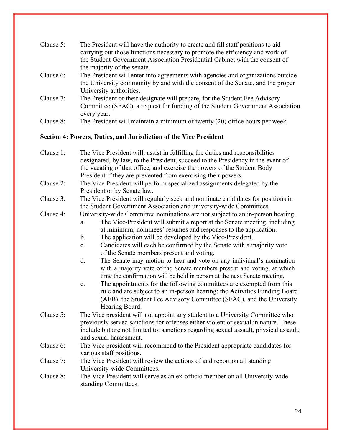| Clause 5: | The President will have the authority to create and fill staff positions to aid<br>carrying out those functions necessary to promote the efficiency and work of |
|-----------|-----------------------------------------------------------------------------------------------------------------------------------------------------------------|
|           | the Student Government Association Presidential Cabinet with the consent of                                                                                     |
|           | the majority of the senate.                                                                                                                                     |
| Clause 6: | The President will enter into agreements with agencies and organizations outside                                                                                |
|           | the University community by and with the consent of the Senate, and the proper                                                                                  |
|           | University authorities.                                                                                                                                         |
| Clause 7: | The President or their designate will prepare, for the Student Fee Advisory                                                                                     |
|           | Committee (SFAC), a request for funding of the Student Government Association                                                                                   |
|           | every year.                                                                                                                                                     |
| Clause 8: | The President will maintain a minimum of twenty (20) office hours per week.                                                                                     |
|           |                                                                                                                                                                 |

## **Section 4: Powers, Duties, and Jurisdiction of the Vice President**

- Clause 1: The Vice President will: assist in fulfilling the duties and responsibilities designated, by law, to the President, succeed to the Presidency in the event of the vacating of that office, and exercise the powers of the Student Body President if they are prevented from exercising their powers.
- Clause 2: The Vice President will perform specialized assignments delegated by the President or by Senate law.
- Clause 3: The Vice President will regularly seek and nominate candidates for positions in the Student Government Association and university-wide Committees.
- Clause 4: University-wide Committee nominations are not subject to an in-person hearing.
	- a. The Vice-President will submit a report at the Senate meeting, including at minimum, nominees' resumes and responses to the application.
	- b. The application will be developed by the Vice-President.
	- c. Candidates will each be confirmed by the Senate with a majority vote of the Senate members present and voting.
	- d. The Senate may motion to hear and vote on any individual's nomination with a majority vote of the Senate members present and voting, at which time the confirmation will be held in person at the next Senate meeting.
	- e. The appointments for the following committees are exempted from this rule and are subject to an in-person hearing: the Activities Funding Board (AFB), the Student Fee Advisory Committee (SFAC), and the University Hearing Board.
- Clause 5: The Vice president will not appoint any student to a University Committee who previously served sanctions for offenses either violent or sexual in nature. These include but are not limited to: sanctions regarding sexual assault, physical assault, and sexual harassment.
- Clause 6: The Vice president will recommend to the President appropriate candidates for various staff positions.
- Clause 7: The Vice President will review the actions of and report on all standing University-wide Committees.
- Clause 8: The Vice President will serve as an ex-officio member on all University-wide standing Committees.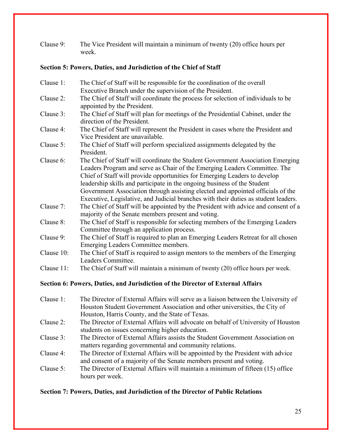Clause 9: The Vice President will maintain a minimum of twenty (20) office hours per week.

# **Section 5: Powers, Duties, and Jurisdiction of the Chief of Staff**

| Clause 1:  | The Chief of Staff will be responsible for the coordination of the overall                                                                                                                                                                                                                                                                                                                                                                                                                     |
|------------|------------------------------------------------------------------------------------------------------------------------------------------------------------------------------------------------------------------------------------------------------------------------------------------------------------------------------------------------------------------------------------------------------------------------------------------------------------------------------------------------|
|            | Executive Branch under the supervision of the President.                                                                                                                                                                                                                                                                                                                                                                                                                                       |
| Clause 2:  | The Chief of Staff will coordinate the process for selection of individuals to be<br>appointed by the President.                                                                                                                                                                                                                                                                                                                                                                               |
| Clause 3:  | The Chief of Staff will plan for meetings of the Presidential Cabinet, under the<br>direction of the President.                                                                                                                                                                                                                                                                                                                                                                                |
| Clause 4:  | The Chief of Staff will represent the President in cases where the President and<br>Vice President are unavailable.                                                                                                                                                                                                                                                                                                                                                                            |
| Clause 5:  | The Chief of Staff will perform specialized assignments delegated by the<br>President.                                                                                                                                                                                                                                                                                                                                                                                                         |
| Clause 6:  | The Chief of Staff will coordinate the Student Government Association Emerging<br>Leaders Program and serve as Chair of the Emerging Leaders Committee. The<br>Chief of Staff will provide opportunities for Emerging Leaders to develop<br>leadership skills and participate in the ongoing business of the Student<br>Government Association through assisting elected and appointed officials of the<br>Executive, Legislative, and Judicial branches with their duties as student leaders. |
| Clause 7:  | The Chief of Staff will be appointed by the President with advice and consent of a<br>majority of the Senate members present and voting.                                                                                                                                                                                                                                                                                                                                                       |
| Clause 8:  | The Chief of Staff is responsible for selecting members of the Emerging Leaders<br>Committee through an application process.                                                                                                                                                                                                                                                                                                                                                                   |
| Clause 9:  | The Chief of Staff is required to plan an Emerging Leaders Retreat for all chosen<br>Emerging Leaders Committee members.                                                                                                                                                                                                                                                                                                                                                                       |
| Clause 10: | The Chief of Staff is required to assign mentors to the members of the Emerging<br>Leaders Committee.                                                                                                                                                                                                                                                                                                                                                                                          |
| Clause 11: | The Chief of Staff will maintain a minimum of twenty (20) office hours per week.                                                                                                                                                                                                                                                                                                                                                                                                               |

# **Section 6: Powers, Duties, and Jurisdiction of the Director of External Affairs**

- Clause 1: The Director of External Affairs will serve as a liaison between the University of Houston Student Government Association and other universities, the City of Houston, Harris County, and the State of Texas.
- Clause 2: The Director of External Affairs will advocate on behalf of University of Houston students on issues concerning higher education.
- Clause 3: The Director of External Affairs assists the Student Government Association on matters regarding governmental and community relations.
- Clause 4: The Director of External Affairs will be appointed by the President with advice and consent of a majority of the Senate members present and voting.
- Clause 5: The Director of External Affairs will maintain a minimum of fifteen (15) office hours per week.

# **Section 7: Powers, Duties, and Jurisdiction of the Director of Public Relations**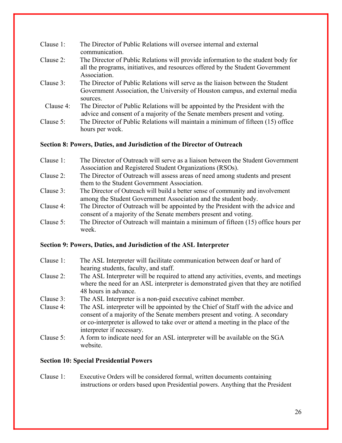| Clause $1$ : | The Director of Public Relations will oversee internal and external<br>communication.                                                                                               |
|--------------|-------------------------------------------------------------------------------------------------------------------------------------------------------------------------------------|
| Clause 2:    | The Director of Public Relations will provide information to the student body for<br>all the programs, initiatives, and resources offered by the Student Government<br>Association. |
| Clause 3:    | The Director of Public Relations will serve as the liaison between the Student<br>Government Association, the University of Houston campus, and external media<br>sources.          |
| Clause 4:    | The Director of Public Relations will be appointed by the President with the<br>advice and consent of a majority of the Senate members present and voting.                          |
| Clause 5:    | The Director of Public Relations will maintain a minimum of fifteen (15) office<br>hours per week.                                                                                  |

## **Section 8: Powers, Duties, and Jurisdiction of the Director of Outreach**

| Clause 1: | The Director of Outreach will serve as a liaison between the Student Government   |
|-----------|-----------------------------------------------------------------------------------|
|           | Association and Registered Student Organizations (RSOs).                          |
| Clause 2: | The Director of Outreach will assess areas of need among students and present     |
|           | them to the Student Government Association.                                       |
| Clause 3: | The Director of Outreach will build a better sense of community and involvement   |
|           | among the Student Government Association and the student body.                    |
| Clause 4: | The Director of Outreach will be appointed by the President with the advice and   |
|           | consent of a majority of the Senate members present and voting.                   |
| Clause 5: | The Director of Outreach will maintain a minimum of fifteen (15) office hours per |
|           | week.                                                                             |

#### **Section 9: Powers, Duties, and Jurisdiction of the ASL Interpreter**

- Clause 1: The ASL Interpreter will facilitate communication between deaf or hard of hearing students, faculty, and staff.
- Clause 2: The ASL Interpreter will be required to attend any activities, events, and meetings where the need for an ASL interpreter is demonstrated given that they are notified 48 hours in advance.
- Clause 3: The ASL Interpreter is a non-paid executive cabinet member.
- Clause 4: The ASL interpreter will be appointed by the Chief of Staff with the advice and consent of a majority of the Senate members present and voting. A secondary or co-interpreter is allowed to take over or attend a meeting in the place of the interpreter if necessary.
- Clause 5: A form to indicate need for an ASL interpreter will be available on the SGA website.

#### **Section 10: Special Presidential Powers**

Clause 1: Executive Orders will be considered formal, written documents containing instructions or orders based upon Presidential powers. Anything that the President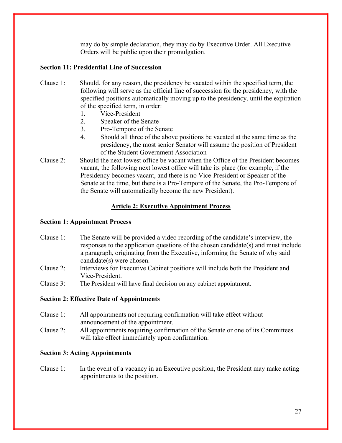may do by simple declaration, they may do by Executive Order. All Executive Orders will be public upon their promulgation.

# **Section 11: Presidential Line of Succession**

- Clause 1: Should, for any reason, the presidency be vacated within the specified term, the following will serve as the official line of succession for the presidency, with the specified positions automatically moving up to the presidency, until the expiration of the specified term, in order:
	- 1. Vice-President
	- 2. Speaker of the Senate
	- 3. Pro-Tempore of the Senate
	- 4. Should all three of the above positions be vacated at the same time as the presidency, the most senior Senator will assume the position of President of the Student Government Association
- Clause 2: Should the next lowest office be vacant when the Office of the President becomes vacant, the following next lowest office will take its place (for example, if the Presidency becomes vacant, and there is no Vice-President or Speaker of the Senate at the time, but there is a Pro-Tempore of the Senate, the Pro-Tempore of the Senate will automatically become the new President).

# **Article 2: Executive Appointment Process**

#### **Section 1: Appointment Process**

- Clause 1: The Senate will be provided a video recording of the candidate's interview, the responses to the application questions of the chosen candidate(s) and must include a paragraph, originating from the Executive, informing the Senate of why said candidate(s) were chosen.
- Clause 2: Interviews for Executive Cabinet positions will include both the President and Vice-President.
- Clause 3: The President will have final decision on any cabinet appointment.

## **Section 2: Effective Date of Appointments**

- Clause 1: All appointments not requiring confirmation will take effect without announcement of the appointment.
- Clause 2: All appointments requiring confirmation of the Senate or one of its Committees will take effect immediately upon confirmation.

## **Section 3: Acting Appointments**

Clause 1: In the event of a vacancy in an Executive position, the President may make acting appointments to the position.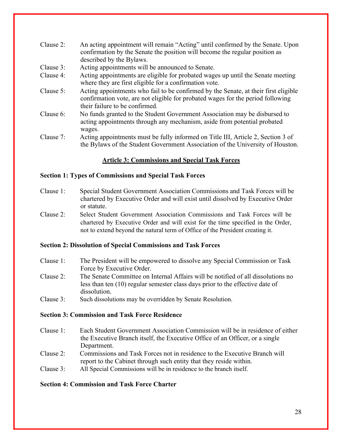- Clause 2: An acting appointment will remain "Acting" until confirmed by the Senate. Upon confirmation by the Senate the position will become the regular position as described by the Bylaws.
- Clause 3: Acting appointments will be announced to Senate.
- Clause 4: Acting appointments are eligible for probated wages up until the Senate meeting where they are first eligible for a confirmation vote.
- Clause 5: Acting appointments who fail to be confirmed by the Senate, at their first eligible confirmation vote, are not eligible for probated wages for the period following their failure to be confirmed.
- Clause 6: No funds granted to the Student Government Association may be disbursed to acting appointments through any mechanism, aside from potential probated wages.
- Clause 7: Acting appointments must be fully informed on Title III, Article 2, Section 3 of the Bylaws of the Student Government Association of the University of Houston.

# **Article 3: Commissions and Special Task Forces**

#### **Section 1: Types of Commissions and Special Task Forces**

- Clause 1: Special Student Government Association Commissions and Task Forces will be chartered by Executive Order and will exist until dissolved by Executive Order or statute.
- Clause 2: Select Student Government Association Commissions and Task Forces will be chartered by Executive Order and will exist for the time specified in the Order, not to extend beyond the natural term of Office of the President creating it.

#### **Section 2: Dissolution of Special Commissions and Task Forces**

- Clause 1: The President will be empowered to dissolve any Special Commission or Task Force by Executive Order.
- Clause 2: The Senate Committee on Internal Affairs will be notified of all dissolutions no less than ten (10) regular semester class days prior to the effective date of dissolution.
- Clause 3: Such dissolutions may be overridden by Senate Resolution.

#### **Section 3: Commission and Task Force Residence**

- Clause 1: Each Student Government Association Commission will be in residence of either the Executive Branch itself, the Executive Office of an Officer, or a single Department.
- Clause 2: Commissions and Task Forces not in residence to the Executive Branch will report to the Cabinet through such entity that they reside within.
- Clause 3: All Special Commissions will be in residence to the branch itself.

## **Section 4: Commission and Task Force Charter**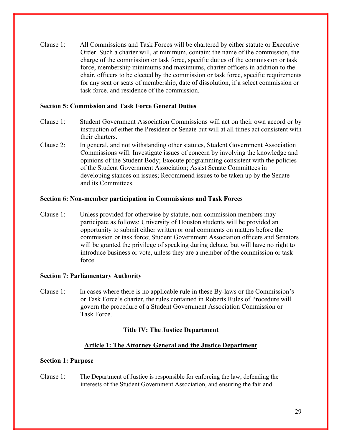Clause 1: All Commissions and Task Forces will be chartered by either statute or Executive Order. Such a charter will, at minimum, contain: the name of the commission, the charge of the commission or task force, specific duties of the commission or task force, membership minimums and maximums, charter officers in addition to the chair, officers to be elected by the commission or task force, specific requirements for any seat or seats of membership, date of dissolution, if a select commission or task force, and residence of the commission.

## **Section 5: Commission and Task Force General Duties**

- Clause 1: Student Government Association Commissions will act on their own accord or by instruction of either the President or Senate but will at all times act consistent with their charters.
- Clause 2: In general, and not withstanding other statutes, Student Government Association Commissions will: Investigate issues of concern by involving the knowledge and opinions of the Student Body; Execute programming consistent with the policies of the Student Government Association; Assist Senate Committees in developing stances on issues; Recommend issues to be taken up by the Senate and its Committees.

#### **Section 6: Non-member participation in Commissions and Task Forces**

Clause 1: Unless provided for otherwise by statute, non-commission members may participate as follows: University of Houston students will be provided an opportunity to submit either written or oral comments on matters before the commission or task force; Student Government Association officers and Senators will be granted the privilege of speaking during debate, but will have no right to introduce business or vote, unless they are a member of the commission or task force.

#### **Section 7: Parliamentary Authority**

Clause 1: In cases where there is no applicable rule in these By-laws or the Commission's or Task Force's charter, the rules contained in Roberts Rules of Procedure will govern the procedure of a Student Government Association Commission or Task Force.

#### **Title IV: The Justice Department**

#### **Article 1: The Attorney General and the Justice Department**

#### **Section 1: Purpose**

Clause 1: The Department of Justice is responsible for enforcing the law, defending the interests of the Student Government Association, and ensuring the fair and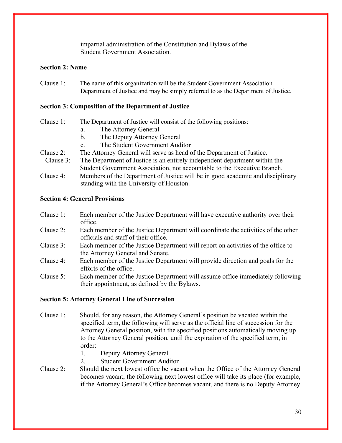impartial administration of the Constitution and Bylaws of the Student Government Association.

#### **Section 2: Name**

Clause 1: The name of this organization will be the Student Government Association Department of Justice and may be simply referred to as the Department of Justice.

#### **Section 3: Composition of the Department of Justice**

- Clause 1: The Department of Justice will consist of the following positions: a. The Attorney General
	-
	- b. The Deputy Attorney General
	- c. The Student Government Auditor
- Clause 2: The Attorney General will serve as head of the Department of Justice.
- Clause 3: The Department of Justice is an entirely independent department within the Student Government Association, not accountable to the Executive Branch.
- Clause 4: Members of the Department of Justice will be in good academic and disciplinary standing with the University of Houston.

#### **Section 4: General Provisions**

- Clause 1: Each member of the Justice Department will have executive authority over their office.
- Clause 2: Each member of the Justice Department will coordinate the activities of the other officials and staff of their office.
- Clause 3: Each member of the Justice Department will report on activities of the office to the Attorney General and Senate.
- Clause 4: Each member of the Justice Department will provide direction and goals for the efforts of the office.
- Clause 5: Each member of the Justice Department will assume office immediately following their appointment, as defined by the Bylaws.

#### **Section 5: Attorney General Line of Succession**

- Clause 1: Should, for any reason, the Attorney General's position be vacated within the specified term, the following will serve as the official line of succession for the Attorney General position, with the specified positions automatically moving up to the Attorney General position, until the expiration of the specified term, in order:
	- 1. Deputy Attorney General
	- 2. Student Government Auditor
- Clause 2: Should the next lowest office be vacant when the Office of the Attorney General becomes vacant, the following next lowest office will take its place (for example, if the Attorney General's Office becomes vacant, and there is no Deputy Attorney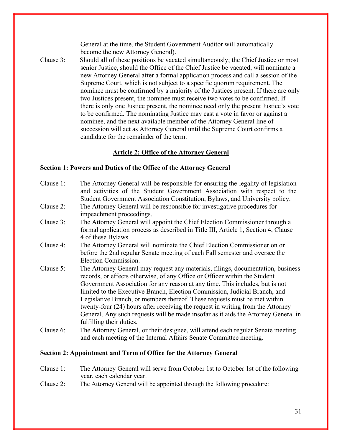General at the time, the Student Government Auditor will automatically become the new Attorney General).

Clause 3: Should all of these positions be vacated simultaneously; the Chief Justice or most senior Justice, should the Office of the Chief Justice be vacated, will nominate a new Attorney General after a formal application process and call a session of the Supreme Court, which is not subject to a specific quorum requirement. The nominee must be confirmed by a majority of the Justices present. If there are only two Justices present, the nominee must receive two votes to be confirmed. If there is only one Justice present, the nominee need only the present Justice's vote to be confirmed. The nominating Justice may cast a vote in favor or against a nominee, and the next available member of the Attorney General line of succession will act as Attorney General until the Supreme Court confirms a candidate for the remainder of the term.

# **Article 2: Office of the Attorney General**

#### **Section 1: Powers and Duties of the Office of the Attorney General**

| Clause 1: | The Attorney General will be responsible for ensuring the legality of legislation<br>and activities of the Student Government Association with respect to the<br>Student Government Association Constitution, Bylaws, and University policy.                                                                                                                                                                                                                                                                                                                                                                   |
|-----------|----------------------------------------------------------------------------------------------------------------------------------------------------------------------------------------------------------------------------------------------------------------------------------------------------------------------------------------------------------------------------------------------------------------------------------------------------------------------------------------------------------------------------------------------------------------------------------------------------------------|
| Clause 2: | The Attorney General will be responsible for investigative procedures for<br>impeachment proceedings.                                                                                                                                                                                                                                                                                                                                                                                                                                                                                                          |
| Clause 3: | The Attorney General will appoint the Chief Election Commissioner through a<br>formal application process as described in Title III, Article 1, Section 4, Clause<br>4 of these Bylaws.                                                                                                                                                                                                                                                                                                                                                                                                                        |
| Clause 4: | The Attorney General will nominate the Chief Election Commissioner on or<br>before the 2nd regular Senate meeting of each Fall semester and oversee the<br>Election Commission.                                                                                                                                                                                                                                                                                                                                                                                                                                |
| Clause 5: | The Attorney General may request any materials, filings, documentation, business<br>records, or effects otherwise, of any Office or Officer within the Student<br>Government Association for any reason at any time. This includes, but is not<br>limited to the Executive Branch, Election Commission, Judicial Branch, and<br>Legislative Branch, or members thereof. These requests must be met within<br>twenty-four (24) hours after receiving the request in writing from the Attorney<br>General. Any such requests will be made insofar as it aids the Attorney General in<br>fulfilling their duties. |
| Clause 6: | The Attorney General, or their designee, will attend each regular Senate meeting<br>and each meeting of the Internal Affairs Senate Committee meeting.                                                                                                                                                                                                                                                                                                                                                                                                                                                         |

## **Section 2: Appointment and Term of Office for the Attorney General**

- Clause 1: The Attorney General will serve from October 1st to October 1st of the following year, each calendar year.
- Clause 2: The Attorney General will be appointed through the following procedure: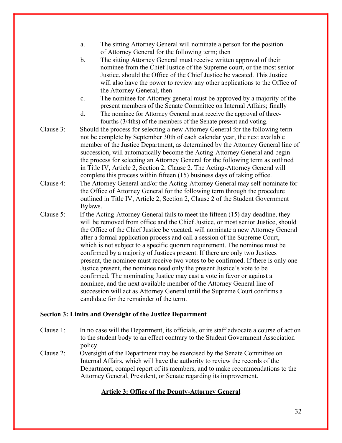- a. The sitting Attorney General will nominate a person for the position of Attorney General for the following term; then
- b. The sitting Attorney General must receive written approval of their nominee from the Chief Justice of the Supreme court, or the most senior Justice, should the Office of the Chief Justice be vacated. This Justice will also have the power to review any other applications to the Office of the Attorney General; then
- c. The nominee for Attorney general must be approved by a majority of the present members of the Senate Committee on Internal Affairs; finally
- d. The nominee for Attorney General must receive the approval of threefourths (3/4ths) of the members of the Senate present and voting.
- Clause 3: Should the process for selecting a new Attorney General for the following term not be complete by September 30th of each calendar year, the next available member of the Justice Department, as determined by the Attorney General line of succession, will automatically become the Acting-Attorney General and begin the process for selecting an Attorney General for the following term as outlined in Title IV, Article 2, Section 2, Clause 2. The Acting-Attorney General will complete this process within fifteen (15) business days of taking office.
- Clause 4: The Attorney General and/or the Acting-Attorney General may self-nominate for the Office of Attorney General for the following term through the procedure outlined in Title IV, Article 2, Section 2, Clause 2 of the Student Government Bylaws.
- Clause 5: If the Acting-Attorney General fails to meet the fifteen (15) day deadline, they will be removed from office and the Chief Justice, or most senior Justice, should the Office of the Chief Justice be vacated, will nominate a new Attorney General after a formal application process and call a session of the Supreme Court, which is not subject to a specific quorum requirement. The nominee must be confirmed by a majority of Justices present. If there are only two Justices present, the nominee must receive two votes to be confirmed. If there is only one Justice present, the nominee need only the present Justice's vote to be confirmed. The nominating Justice may cast a vote in favor or against a nominee, and the next available member of the Attorney General line of succession will act as Attorney General until the Supreme Court confirms a candidate for the remainder of the term.

#### **Section 3: Limits and Oversight of the Justice Department**

- Clause 1: In no case will the Department, its officials, or its staff advocate a course of action to the student body to an effect contrary to the Student Government Association policy.
- Clause 2: Oversight of the Department may be exercised by the Senate Committee on Internal Affairs, which will have the authority to review the records of the Department, compel report of its members, and to make recommendations to the Attorney General, President, or Senate regarding its improvement.

## **Article 3: Office of the Deputy-Attorney General**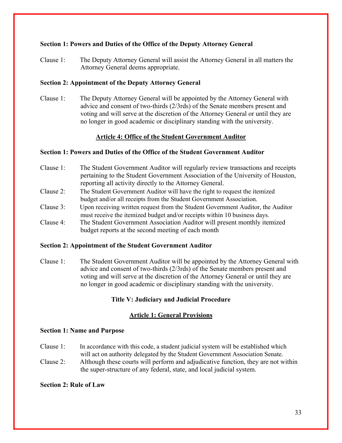# **Section 1: Powers and Duties of the Office of the Deputy Attorney General**

Clause 1: The Deputy Attorney General will assist the Attorney General in all matters the Attorney General deems appropriate.

## **Section 2: Appointment of the Deputy Attorney General**

Clause 1: The Deputy Attorney General will be appointed by the Attorney General with advice and consent of two-thirds (2/3rds) of the Senate members present and voting and will serve at the discretion of the Attorney General or until they are no longer in good academic or disciplinary standing with the university.

# **Article 4: Office of the Student Government Auditor**

## **Section 1: Powers and Duties of the Office of the Student Government Auditor**

- Clause 1: The Student Government Auditor will regularly review transactions and receipts pertaining to the Student Government Association of the University of Houston, reporting all activity directly to the Attorney General.
- Clause 2: The Student Government Auditor will have the right to request the itemized budget and/or all receipts from the Student Government Association.
- Clause 3: Upon receiving written request from the Student Government Auditor, the Auditor must receive the itemized budget and/or receipts within 10 business days.
- Clause 4: The Student Government Association Auditor will present monthly itemized budget reports at the second meeting of each month

## **Section 2: Appointment of the Student Government Auditor**

Clause 1: The Student Government Auditor will be appointed by the Attorney General with advice and consent of two-thirds (2/3rds) of the Senate members present and voting and will serve at the discretion of the Attorney General or until they are no longer in good academic or disciplinary standing with the university.

## **Title V: Judiciary and Judicial Procedure**

## **Article 1: General Provisions**

#### **Section 1: Name and Purpose**

- Clause 1: In accordance with this code, a student judicial system will be established which will act on authority delegated by the Student Government Association Senate.
- Clause 2: Although these courts will perform and adjudicative function, they are not within the super-structure of any federal, state, and local judicial system.

## **Section 2: Rule of Law**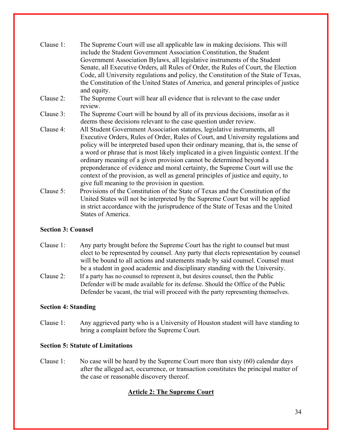| Clause 1: | The Supreme Court will use all applicable law in making decisions. This will<br>include the Student Government Association Constitution, the Student<br>Government Association Bylaws, all legislative instruments of the Student<br>Senate, all Executive Orders, all Rules of Order, the Rules of Court, the Election<br>Code, all University regulations and policy, the Constitution of the State of Texas,<br>the Constitution of the United States of America, and general principles of justice<br>and equity.                                                                                                                         |
|-----------|-----------------------------------------------------------------------------------------------------------------------------------------------------------------------------------------------------------------------------------------------------------------------------------------------------------------------------------------------------------------------------------------------------------------------------------------------------------------------------------------------------------------------------------------------------------------------------------------------------------------------------------------------|
| Clause 2: | The Supreme Court will hear all evidence that is relevant to the case under<br>review.                                                                                                                                                                                                                                                                                                                                                                                                                                                                                                                                                        |
| Clause 3: | The Supreme Court will be bound by all of its previous decisions, insofar as it<br>deems these decisions relevant to the case question under review.                                                                                                                                                                                                                                                                                                                                                                                                                                                                                          |
| Clause 4: | All Student Government Association statutes, legislative instruments, all<br>Executive Orders, Rules of Order, Rules of Court, and University regulations and<br>policy will be interpreted based upon their ordinary meaning, that is, the sense of<br>a word or phrase that is most likely implicated in a given linguistic context. If the<br>ordinary meaning of a given provision cannot be determined beyond a<br>preponderance of evidence and moral certainty, the Supreme Court will use the<br>context of the provision, as well as general principles of justice and equity, to<br>give full meaning to the provision in question. |
| Clause 5: | Provisions of the Constitution of the State of Texas and the Constitution of the<br>United States will not be interpreted by the Supreme Court but will be applied<br>in strict accordance with the jurisprudence of the State of Texas and the United                                                                                                                                                                                                                                                                                                                                                                                        |

## **Section 3: Counsel**

States of America.

- Clause 1: Any party brought before the Supreme Court has the right to counsel but must elect to be represented by counsel. Any party that elects representation by counsel will be bound to all actions and statements made by said counsel. Counsel must be a student in good academic and disciplinary standing with the University.
- Clause 2: If a party has no counsel to represent it, but desires counsel, then the Public Defender will be made available for its defense. Should the Office of the Public Defender be vacant, the trial will proceed with the party representing themselves.

## **Section 4: Standing**

Clause 1: Any aggrieved party who is a University of Houston student will have standing to bring a complaint before the Supreme Court.

## **Section 5: Statute of Limitations**

Clause 1: No case will be heard by the Supreme Court more than sixty (60) calendar days after the alleged act, occurrence, or transaction constitutes the principal matter of the case or reasonable discovery thereof.

# **Article 2: The Supreme Court**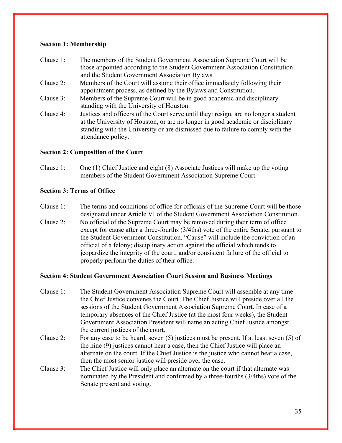## **Section 1: Membership**

- Clause 1: The members of the Student Government Association Supreme Court will be those appointed according to the Student Government Association Constitution and the Student Government Association Bylaws
- Clause 2: Members of the Court will assume their office immediately following their appointment process, as defined by the Bylaws and Constitution.
- Clause 3: Members of the Supreme Court will be in good academic and disciplinary standing with the University of Houston.
- Clause 4: Justices and officers of the Court serve until they: resign, are no longer a student at the University of Houston, or are no longer in good academic or disciplinary standing with the University or are dismissed due to failure to comply with the attendance policy.

# **Section 2: Composition of the Court**

Clause 1: One (1) Chief Justice and eight (8) Associate Justices will make up the voting members of the Student Government Association Supreme Court.

# **Section 3: Terms of Office**

- Clause 1: The terms and conditions of office for officials of the Supreme Court will be those designated under Article VI of the Student Government Association Constitution.
- Clause 2: No official of the Supreme Court may be removed during their term of office except for cause after a three-fourths (3/4ths) vote of the entire Senate, pursuant to the Student Government Constitution. "Cause" will include the conviction of an official of a felony; disciplinary action against the official which tends to jeopardize the integrity of the court; and/or consistent failure of the official to properly perform the duties of their office.

# **Section 4: Student Government Association Court Session and Business Meetings**

- Clause 1: The Student Government Association Supreme Court will assemble at any time the Chief Justice convenes the Court. The Chief Justice will preside over all the sessions of the Student Government Association Supreme Court. In case of a temporary absences of the Chief Justice (at the most four weeks), the Student Government Association President will name an acting Chief Justice amongst the current justices of the court.
- Clause 2: For any case to be heard, seven (5) justices must be present. If at least seven (5) of the nine (9) justices cannot hear a case, then the Chief Justice will place an alternate on the court. If the Chief Justice is the justice who cannot hear a case, then the most senior justice will preside over the case.
- Clause 3: The Chief Justice will only place an alternate on the court if that alternate was nominated by the President and confirmed by a three-fourths (3/4ths) vote of the Senate present and voting.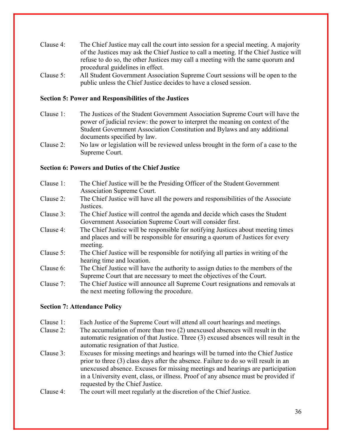- Clause 4: The Chief Justice may call the court into session for a special meeting. A majority of the Justices may ask the Chief Justice to call a meeting. If the Chief Justice will refuse to do so, the other Justices may call a meeting with the same quorum and procedural guidelines in effect.
- Clause 5: All Student Government Association Supreme Court sessions will be open to the public unless the Chief Justice decides to have a closed session.

## **Section 5: Power and Responsibilities of the Justices**

- Clause 1: The Justices of the Student Government Association Supreme Court will have the power of judicial review: the power to interpret the meaning on context of the Student Government Association Constitution and Bylaws and any additional documents specified by law.
- Clause 2: No law or legislation will be reviewed unless brought in the form of a case to the Supreme Court.

#### **Section 6: Powers and Duties of the Chief Justice**

- Clause 1: The Chief Justice will be the Presiding Officer of the Student Government Association Supreme Court.
- Clause 2: The Chief Justice will have all the powers and responsibilities of the Associate Justices.
- Clause 3: The Chief Justice will control the agenda and decide which cases the Student Government Association Supreme Court will consider first.
- Clause 4: The Chief Justice will be responsible for notifying Justices about meeting times and places and will be responsible for ensuring a quorum of Justices for every meeting.
- Clause 5: The Chief Justice will be responsible for notifying all parties in writing of the hearing time and location.
- Clause 6: The Chief Justice will have the authority to assign duties to the members of the Supreme Court that are necessary to meet the objectives of the Court.
- Clause 7: The Chief Justice will announce all Supreme Court resignations and removals at the next meeting following the procedure.

#### **Section 7: Attendance Policy**

- Clause 1: Each Justice of the Supreme Court will attend all court hearings and meetings.
- Clause 2: The accumulation of more than two (2) unexcused absences will result in the automatic resignation of that Justice. Three (3) excused absences will result in the automatic resignation of that Justice.
- Clause 3: Excuses for missing meetings and hearings will be turned into the Chief Justice prior to three (3) class days after the absence. Failure to do so will result in an unexcused absence. Excuses for missing meetings and hearings are participation in a University event, class, or illness. Proof of any absence must be provided if requested by the Chief Justice.
- Clause 4: The court will meet regularly at the discretion of the Chief Justice.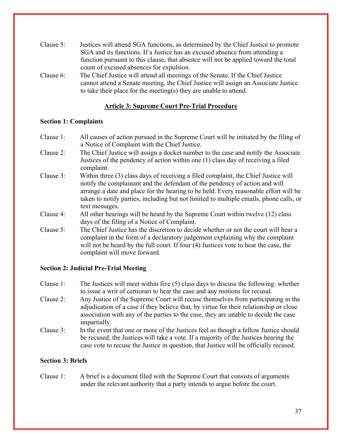| Clause $5$ : | Justices will attend SGA functions, as determined by the Chief Justice to promote   |
|--------------|-------------------------------------------------------------------------------------|
|              | SGA and its functions. If a Justice has an excused absence from attending a         |
|              | function pursuant to this clause, that absence will not be applied toward the total |
|              | count of excused absences for expulsion.                                            |

Clause 6: The Chief Justice will attend all meetings of the Senate. If the Chief Justice cannot attend a Senate meeting, the Chief Justice will assign an Associate Justice to take their place for the meeting(s) they are unable to attend.

# **Article 3: Supreme Court Pre-Trial Procedure**

#### **Section 1: Complaints**

- Clause 1: All causes of action pursued in the Supreme Court will be initiated by the filing of a Notice of Complaint with the Chief Justice.
- Clause 2: The Chief Justice will assign a docket number to the case and notify the Associate Justices of the pendency of action within one (1) class day of receiving a filed complaint.
- Clause 3: Within three (3) class days of receiving a filed complaint, the Chief Justice will notify the complainant and the defendant of the pendency of action and will arrange a date and place for the hearing to be held. Every reasonable effort will be taken to notify parties, including but not limited to multiple emails, phone calls, or text messages.
- Clause 4: All other hearings will be heard by the Supreme Court within twelve (12) class days of the filing of a Notice of Complaint.
- Clause 5: The Chief Justice has the discretion to decide whether or not the court will hear a complaint in the form of a declaratory judgement explaining why the complaint will not be heard by the full court. If four (4) Justices vote to hear the case, the complaint will move forward.

## **Section 2: Judicial Pre-Trial Meeting**

- Clause 1: The Justices will meet within five (5) class days to discuss the following: whether to issue a writ of certiorari to hear the case and any motions for recusal.
- Clause 2: Any Justice of the Supreme Court will recuse themselves from participating in the adjudication of a case if they believe that, by virtue for their relationship or close association with any of the parties to the case, they are unable to decide the case impartially.
- Clause 3: In the event that one or more of the Justices feel as though a fellow Justice should be recused, the Justices will take a vote. If a majority of the Justices hearing the case vote to recuse the Justice in question, that Justice will be officially recused.

## **Section 3: Briefs**

Clause 1: A brief is a document filed with the Supreme Court that consists of arguments under the relevant authority that a party intends to argue before the court.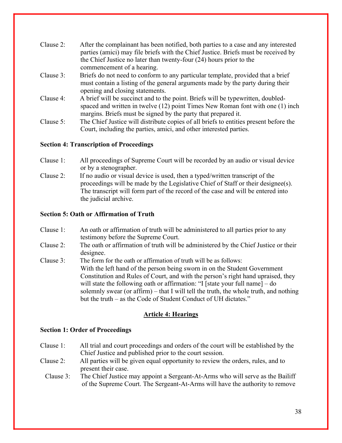| Clause 2: | After the complainant has been notified, both parties to a case and any interested<br>parties (amici) may file briefs with the Chief Justice. Briefs must be received by |
|-----------|--------------------------------------------------------------------------------------------------------------------------------------------------------------------------|
|           | the Chief Justice no later than twenty-four $(24)$ hours prior to the                                                                                                    |
|           | commencement of a hearing.                                                                                                                                               |
| Clause 3: | Briefs do not need to conform to any particular template, provided that a brief                                                                                          |
|           | must contain a listing of the general arguments made by the party during their<br>opening and closing statements.                                                        |
| Clause 4: | A brief will be succinct and to the point. Briefs will be typewritten, doubled-                                                                                          |
|           | spaced and written in twelve (12) point Times New Roman font with one (1) inch<br>margins. Briefs must be signed by the party that prepared it.                          |
| Clause 5: | The Chief Justice will distribute copies of all briefs to entities present before the                                                                                    |
|           | Court, including the parties, amici, and other interested parties.                                                                                                       |

## **Section 4: Transcription of Proceedings**

- Clause 1: All proceedings of Supreme Court will be recorded by an audio or visual device or by a stenographer.
- Clause 2: If no audio or visual device is used, then a typed/written transcript of the proceedings will be made by the Legislative Chief of Staff or their designee(s). The transcript will form part of the record of the case and will be entered into the judicial archive.

# **Section 5: Oath or Affirmation of Truth**

- Clause 1: An oath or affirmation of truth will be administered to all parties prior to any testimony before the Supreme Court.
- Clause 2: The oath or affirmation of truth will be administered by the Chief Justice or their designee.
- Clause 3: The form for the oath or affirmation of truth will be as follows: With the left hand of the person being sworn in on the Student Government Constitution and Rules of Court, and with the person's right hand upraised, they will state the following oath or affirmation: "I [state your full name] – do solemnly swear (or affirm) – that I will tell the truth, the whole truth, and nothing but the truth – as the Code of Student Conduct of UH dictates."

# **Article 4: Hearings**

## **Section 1: Order of Proceedings**

- Clause 1: All trial and court proceedings and orders of the court will be established by the Chief Justice and published prior to the court session.
- Clause 2: All parties will be given equal opportunity to review the orders, rules, and to present their case.
	- Clause 3: The Chief Justice may appoint a Sergeant-At-Arms who will serve as the Bailiff of the Supreme Court. The Sergeant-At-Arms will have the authority to remove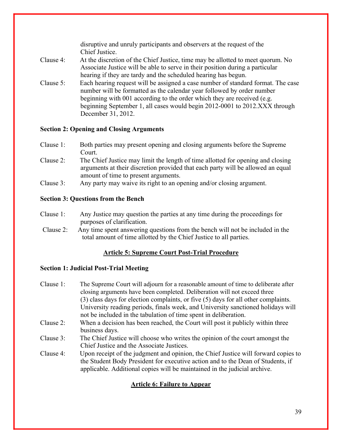|           | disruptive and unruly participants and observers at the request of the<br>Chief Justice.                                                                                                                                                                                                                                                  |
|-----------|-------------------------------------------------------------------------------------------------------------------------------------------------------------------------------------------------------------------------------------------------------------------------------------------------------------------------------------------|
| Clause 4: | At the discretion of the Chief Justice, time may be allotted to meet quorum. No<br>Associate Justice will be able to serve in their position during a particular<br>hearing if they are tardy and the scheduled hearing has begun.                                                                                                        |
| Clause 5: | Each hearing request will be assigned a case number of standard format. The case<br>number will be formatted as the calendar year followed by order number<br>beginning with 001 according to the order which they are received (e.g.<br>beginning September 1, all cases would begin 2012-0001 to 2012.XXX through<br>December 31, 2012. |

# **Section 2: Opening and Closing Arguments**

- Clause 1: Both parties may present opening and closing arguments before the Supreme Court.
- Clause 2: The Chief Justice may limit the length of time allotted for opening and closing arguments at their discretion provided that each party will be allowed an equal amount of time to present arguments.
- Clause 3: Any party may waive its right to an opening and/or closing argument.

## **Section 3: Questions from the Bench**

- Clause 1: Any Justice may question the parties at any time during the proceedings for purposes of clarification.
- Clause 2: Any time spent answering questions from the bench will not be included in the total amount of time allotted by the Chief Justice to all parties.

# **Article 5: Supreme Court Post-Trial Procedure**

## **Section 1: Judicial Post-Trial Meeting**

Clause 1: The Supreme Court will adjourn for a reasonable amount of time to deliberate after closing arguments have been completed. Deliberation will not exceed three (3) class days for election complaints, or five (5) days for all other complaints. University reading periods, finals week, and University sanctioned holidays will not be included in the tabulation of time spent in deliberation. Clause 2: When a decision has been reached, the Court will post it publicly within three business days. Clause 3: The Chief Justice will choose who writes the opinion of the court amongst the Chief Justice and the Associate Justices. Clause 4: Upon receipt of the judgment and opinion, the Chief Justice will forward copies to the Student Body President for executive action and to the Dean of Students, if applicable. Additional copies will be maintained in the judicial archive.

# **Article 6: Failure to Appear**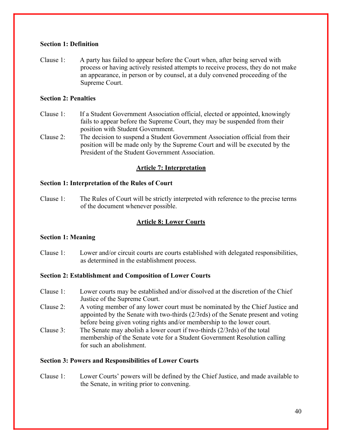## **Section 1: Definition**

Clause 1: A party has failed to appear before the Court when, after being served with process or having actively resisted attempts to receive process, they do not make an appearance, in person or by counsel, at a duly convened proceeding of the Supreme Court.

## **Section 2: Penalties**

- Clause 1: If a Student Government Association official, elected or appointed, knowingly fails to appear before the Supreme Court, they may be suspended from their position with Student Government.
- Clause 2: The decision to suspend a Student Government Association official from their position will be made only by the Supreme Court and will be executed by the President of the Student Government Association.

## **Article 7: Interpretation**

#### **Section 1: Interpretation of the Rules of Court**

Clause 1: The Rules of Court will be strictly interpreted with reference to the precise terms of the document whenever possible.

#### **Article 8: Lower Courts**

#### **Section 1: Meaning**

Clause 1: Lower and/or circuit courts are courts established with delegated responsibilities, as determined in the establishment process.

#### **Section 2: Establishment and Composition of Lower Courts**

- Clause 1: Lower courts may be established and/or dissolved at the discretion of the Chief Justice of the Supreme Court.
- Clause 2: A voting member of any lower court must be nominated by the Chief Justice and appointed by the Senate with two-thirds (2/3rds) of the Senate present and voting before being given voting rights and/or membership to the lower court.
- Clause 3: The Senate may abolish a lower court if two-thirds (2/3rds) of the total membership of the Senate vote for a Student Government Resolution calling for such an abolishment.

#### **Section 3: Powers and Responsibilities of Lower Courts**

Clause 1: Lower Courts' powers will be defined by the Chief Justice, and made available to the Senate, in writing prior to convening.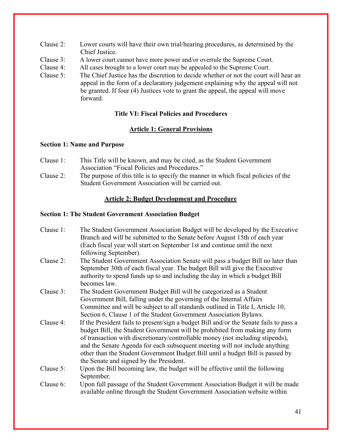- Clause 2: Lower courts will have their own trial/hearing procedures, as determined by the Chief Justice.
- Clause 3: A lower court cannot have more power and/or overrule the Supreme Court.
- Clause 4: All cases brought to a lower court may be appealed to the Supreme Court.
- Clause 5: The Chief Justice has the discretion to decide whether or not the court will hear an appeal in the form of a declaratory judgement explaining why the appeal will not be granted. If four (4) Justices vote to grant the appeal, the appeal will move forward.

# **Title VI: Fiscal Policies and Procedures**

# **Article 1: General Provisions**

#### **Section 1: Name and Purpose**

- Clause 1: This Title will be known, and may be cited, as the Student Government Association "Fiscal Policies and Procedures."
- Clause 2: The purpose of this title is to specify the manner in which fiscal policies of the Student Government Association will be carried out.

## **Article 2: Budget Development and Procedure**

#### **Section 1: The Student Government Association Budget**

- Clause 1: The Student Government Association Budget will be developed by the Executive Branch and will be submitted to the Senate before August 15th of each year (Each fiscal year will start on September 1st and continue until the next following September).
- Clause 2: The Student Government Association Senate will pass a budget Bill no later than September 30th of each fiscal year. The budget Bill will give the Executive authority to spend funds up to and including the day in which a budget Bill becomes law.
- Clause 3: The Student Government Budget Bill will be categorized as a Student Government Bill, falling under the governing of the Internal Affairs Committee and will be subject to all standards outlined in Title I, Article 10, Section 6, Clause 1 of the Student Government Association Bylaws.
- Clause 4: If the President fails to present/sign a budget Bill and/or the Senate fails to pass a budget Bill, the Student Government will be prohibited from making any form of transaction with discretionary/controllable money (not including stipends), and the Senate Agenda for each subsequent meeting will not include anything other than the Student Government Budget Bill until a budget Bill is passed by the Senate and signed by the President.
- Clause 5: Upon the Bill becoming law, the budget will be effective until the following September.
- Clause 6: Upon full passage of the Student Government Association Budget it will be made available online through the Student Government Association website within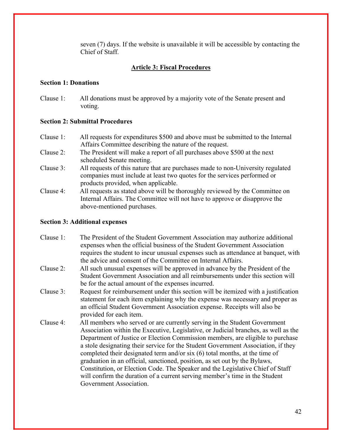seven (7) days. If the website is unavailable it will be accessible by contacting the Chief of Staff.

#### **Article 3: Fiscal Procedures**

#### **Section 1: Donations**

Clause 1: All donations must be approved by a majority vote of the Senate present and voting.

#### **Section 2: Submittal Procedures**

- Clause 1: All requests for expenditures \$500 and above must be submitted to the Internal Affairs Committee describing the nature of the request.
- Clause 2: The President will make a report of all purchases above \$500 at the next scheduled Senate meeting.
- Clause 3: All requests of this nature that are purchases made to non-University regulated companies must include at least two quotes for the services performed or products provided, when applicable.
- Clause 4: All requests as stated above will be thoroughly reviewed by the Committee on Internal Affairs. The Committee will not have to approve or disapprove the above-mentioned purchases.

#### **Section 3: Additional expenses**

- Clause 1: The President of the Student Government Association may authorize additional expenses when the official business of the Student Government Association requires the student to incur unusual expenses such as attendance at banquet, with the advice and consent of the Committee on Internal Affairs.
- Clause 2: All such unusual expenses will be approved in advance by the President of the Student Government Association and all reimbursements under this section will be for the actual amount of the expenses incurred.
- Clause 3: Request for reimbursement under this section will be itemized with a justification statement for each item explaining why the expense was necessary and proper as an official Student Government Association expense. Receipts will also be provided for each item.
- Clause 4: All members who served or are currently serving in the Student Government Association within the Executive, Legislative, or Judicial branches, as well as the Department of Justice or Election Commission members, are eligible to purchase a stole designating their service for the Student Government Association, if they completed their designated term and/or six (6) total months, at the time of graduation in an official, sanctioned, position, as set out by the Bylaws, Constitution, or Election Code. The Speaker and the Legislative Chief of Staff will confirm the duration of a current serving member's time in the Student Government Association.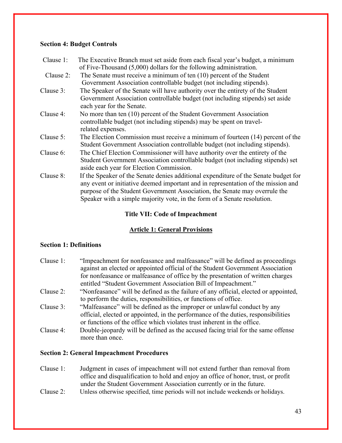## **Section 4: Budget Controls**

| The Executive Branch must set aside from each fiscal year's budget, a minimum                              |
|------------------------------------------------------------------------------------------------------------|
| of Five-Thousand (5,000) dollars for the following administration.                                         |
| The Senate must receive a minimum of ten $(10)$ percent of the Student                                     |
| Government Association controllable budget (not including stipends).                                       |
| The Speaker of the Senate will have authority over the entirety of the Student                             |
| Government Association controllable budget (not including stipends) set aside<br>each year for the Senate. |
| No more than ten (10) percent of the Student Government Association                                        |
| controllable budget (not including stipends) may be spent on travel-                                       |
| related expenses.                                                                                          |
| The Election Commission must receive a minimum of fourteen (14) percent of the                             |
| Student Government Association controllable budget (not including stipends).                               |
| The Chief Election Commissioner will have authority over the entirety of the                               |
| Student Government Association controllable budget (not including stipends) set                            |
| aside each year for Election Commission.                                                                   |
| If the Speaker of the Senate denies additional expenditure of the Senate budget for                        |
| any event or initiative deemed important and in representation of the mission and                          |
| purpose of the Student Government Association, the Senate may overrule the                                 |
| Speaker with a simple majority vote, in the form of a Senate resolution.                                   |
|                                                                                                            |

# **Title VII: Code of Impeachment**

# **Article 1: General Provisions**

# **Section 1: Definitions**

| Clause $1$ : | "Imperahment for nonfeasance and malfeasance" will be defined as proceedings<br>against an elected or appointed official of the Student Government Association<br>for nonfeasance or malfeasance of office by the presentation of written charges |
|--------------|---------------------------------------------------------------------------------------------------------------------------------------------------------------------------------------------------------------------------------------------------|
|              | entitled "Student Government Association Bill of Impeachment."                                                                                                                                                                                    |
| Clause 2:    | "Nonfeasance" will be defined as the failure of any official, elected or appointed,<br>to perform the duties, responsibilities, or functions of office.                                                                                           |
| Clause 3:    | "Malfeasance" will be defined as the improper or unlawful conduct by any<br>official, elected or appointed, in the performance of the duties, responsibilities<br>or functions of the office which violates trust inherent in the office.         |
| Clause 4:    | Double-jeopardy will be defined as the accused facing trial for the same offense<br>more than once.                                                                                                                                               |

## **Section 2: General Impeachment Procedures**

- Clause 1: Judgment in cases of impeachment will not extend further than removal from office and disqualification to hold and enjoy an office of honor, trust, or profit under the Student Government Association currently or in the future.
- Clause 2: Unless otherwise specified, time periods will not include weekends or holidays.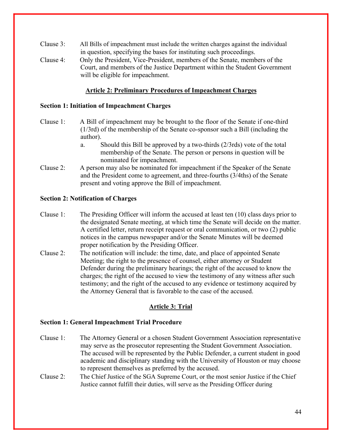- Clause 3: All Bills of impeachment must include the written charges against the individual in question, specifying the bases for instituting such proceedings.
- Clause 4: Only the President, Vice-President, members of the Senate, members of the Court, and members of the Justice Department within the Student Government will be eligible for impeachment.

## **Article 2: Preliminary Procedures of Impeachment Charges**

#### **Section 1: Initiation of Impeachment Charges**

- Clause 1: A Bill of impeachment may be brought to the floor of the Senate if one-third (1/3rd) of the membership of the Senate co-sponsor such a Bill (including the author).
	- a. Should this Bill be approved by a two-thirds (2/3rds) vote of the total membership of the Senate. The person or persons in question will be nominated for impeachment.
- Clause 2: A person may also be nominated for impeachment if the Speaker of the Senate and the President come to agreement, and three-fourths (3/4ths) of the Senate present and voting approve the Bill of impeachment.

#### **Section 2: Notification of Charges**

- Clause 1: The Presiding Officer will inform the accused at least ten (10) class days prior to the designated Senate meeting, at which time the Senate will decide on the matter. A certified letter, return receipt request or oral communication, or two (2) public notices in the campus newspaper and/or the Senate Minutes will be deemed proper notification by the Presiding Officer.
- Clause 2: The notification will include: the time, date, and place of appointed Senate Meeting; the right to the presence of counsel, either attorney or Student Defender during the preliminary hearings; the right of the accused to know the charges; the right of the accused to view the testimony of any witness after such testimony; and the right of the accused to any evidence or testimony acquired by the Attorney General that is favorable to the case of the accused.

# **Article 3: Trial**

#### **Section 1: General Impeachment Trial Procedure**

- Clause 1: The Attorney General or a chosen Student Government Association representative may serve as the prosecutor representing the Student Government Association. The accused will be represented by the Public Defender, a current student in good academic and disciplinary standing with the University of Houston or may choose to represent themselves as preferred by the accused.
- Clause 2: The Chief Justice of the SGA Supreme Court, or the most senior Justice if the Chief Justice cannot fulfill their duties, will serve as the Presiding Officer during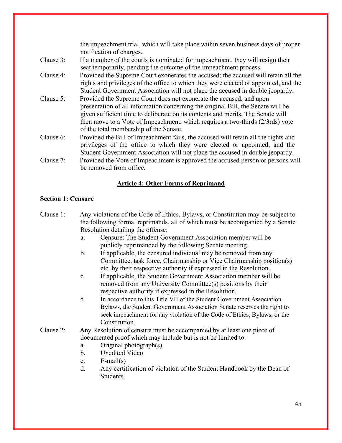the impeachment trial, which will take place within seven business days of proper notification of charges. Clause 3: If a member of the courts is nominated for impeachment, they will resign their seat temporarily, pending the outcome of the impeachment process. Clause 4: Provided the Supreme Court exonerates the accused; the accused will retain all the rights and privileges of the office to which they were elected or appointed, and the Student Government Association will not place the accused in double jeopardy. Clause 5: Provided the Supreme Court does not exonerate the accused, and upon presentation of all information concerning the original Bill, the Senate will be given sufficient time to deliberate on its contents and merits. The Senate will then move to a Vote of Impeachment, which requires a two-thirds (2/3rds) vote of the total membership of the Senate. Clause 6: Provided the Bill of Impeachment fails, the accused will retain all the rights and privileges of the office to which they were elected or appointed, and the Student Government Association will not place the accused in double jeopardy. Clause 7: Provided the Vote of Impeachment is approved the accused person or persons will be removed from office.

# **Article 4: Other Forms of Reprimand**

## **Section 1: Censure**

- Clause 1: Any violations of the Code of Ethics, Bylaws, or Constitution may be subject to the following formal reprimands, all of which must be accompanied by a Senate Resolution detailing the offense: a. Censure: The Student Government Association member will be publicly reprimanded by the following Senate meeting.
	- b. If applicable, the censured individual may be removed from any Committee, task force, Chairmanship or Vice Chairmanship position(s) etc. by their respective authority if expressed in the Resolution.
	- c. If applicable, the Student Government Association member will be removed from any University Committee(s) positions by their respective authority if expressed in the Resolution.
	- d. In accordance to this Title VII of the Student Government Association Bylaws, the Student Government Association Senate reserves the right to seek impeachment for any violation of the Code of Ethics, Bylaws, or the Constitution.
- Clause 2: Any Resolution of censure must be accompanied by at least one piece of documented proof which may include but is not be limited to:
	- a. Original photograph(s)
	- b. Unedited Video
	- c. E-mail(s)
	- d. Any certification of violation of the Student Handbook by the Dean of Students.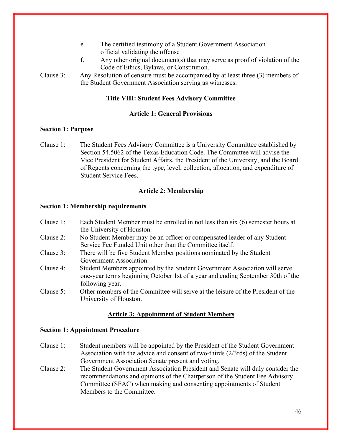- e. The certified testimony of a Student Government Association official validating the offense
- f. Any other original document(s) that may serve as proof of violation of the Code of Ethics, Bylaws, or Constitution.

Clause 3: Any Resolution of censure must be accompanied by at least three (3) members of the Student Government Association serving as witnesses.

#### **Title VIII: Student Fees Advisory Committee**

#### **Article 1: General Provisions**

#### **Section 1: Purpose**

Clause 1: The Student Fees Advisory Committee is a University Committee established by Section 54.5062 of the Texas Education Code. The Committee will advise the Vice President for Student Affairs, the President of the University, and the Board of Regents concerning the type, level, collection, allocation, and expenditure of Student Service Fees.

## **Article 2: Membership**

#### **Section 1: Membership requirements**

- Clause 1: Each Student Member must be enrolled in not less than six (6) semester hours at the University of Houston.
- Clause 2: No Student Member may be an officer or compensated leader of any Student Service Fee Funded Unit other than the Committee itself.
- Clause 3: There will be five Student Member positions nominated by the Student Government Association.
- Clause 4: Student Members appointed by the Student Government Association will serve one-year terms beginning October 1st of a year and ending September 30th of the following year.
- Clause 5: Other members of the Committee will serve at the leisure of the President of the University of Houston.

#### **Article 3: Appointment of Student Members**

#### **Section 1: Appointment Procedure**

- Clause 1: Student members will be appointed by the President of the Student Government Association with the advice and consent of two-thirds (2/3rds) of the Student Government Association Senate present and voting.
- Clause 2: The Student Government Association President and Senate will duly consider the recommendations and opinions of the Chairperson of the Student Fee Advisory Committee (SFAC) when making and consenting appointments of Student Members to the Committee.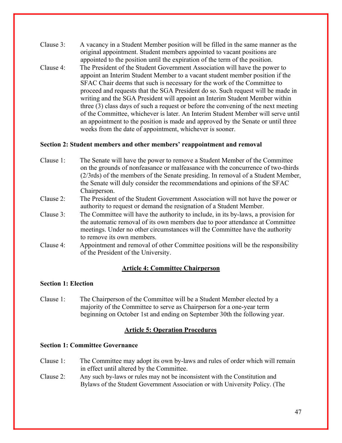- Clause 3: A vacancy in a Student Member position will be filled in the same manner as the original appointment. Student members appointed to vacant positions are appointed to the position until the expiration of the term of the position. Clause 4: The President of the Student Government Association will have the power to
- appoint an Interim Student Member to a vacant student member position if the SFAC Chair deems that such is necessary for the work of the Committee to proceed and requests that the SGA President do so. Such request will be made in writing and the SGA President will appoint an Interim Student Member within three (3) class days of such a request or before the convening of the next meeting of the Committee, whichever is later. An Interim Student Member will serve until an appointment to the position is made and approved by the Senate or until three weeks from the date of appointment, whichever is sooner.

#### **Section 2: Student members and other members' reappointment and removal**

- Clause 1: The Senate will have the power to remove a Student Member of the Committee on the grounds of nonfeasance or malfeasance with the concurrence of two-thirds (2/3rds) of the members of the Senate presiding. In removal of a Student Member, the Senate will duly consider the recommendations and opinions of the SFAC Chairperson.
- Clause 2: The President of the Student Government Association will not have the power or authority to request or demand the resignation of a Student Member.
- Clause 3: The Committee will have the authority to include, in its by-laws, a provision for the automatic removal of its own members due to poor attendance at Committee meetings. Under no other circumstances will the Committee have the authority to remove its own members.
- Clause 4: Appointment and removal of other Committee positions will be the responsibility of the President of the University.

#### **Article 4: Committee Chairperson**

#### **Section 1: Election**

Clause 1: The Chairperson of the Committee will be a Student Member elected by a majority of the Committee to serve as Chairperson for a one-year term beginning on October 1st and ending on September 30th the following year.

#### **Article 5: Operation Procedures**

#### **Section 1: Committee Governance**

- Clause 1: The Committee may adopt its own by-laws and rules of order which will remain in effect until altered by the Committee.
- Clause 2: Any such by-laws or rules may not be inconsistent with the Constitution and Bylaws of the Student Government Association or with University Policy. (The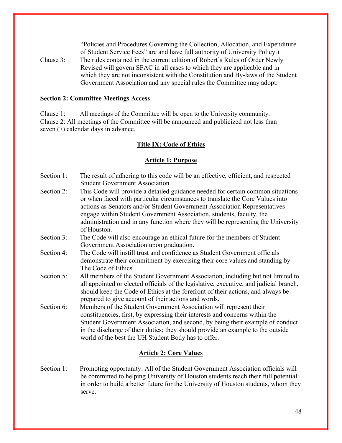"Policies and Procedures Governing the Collection, Allocation, and Expenditure of Student Service Fees" are and have full authority of University Policy.)

Clause 3: The rules contained in the current edition of Robert's Rules of Order Newly Revised will govern SFAC in all cases to which they are applicable and in which they are not inconsistent with the Constitution and By-laws of the Student Government Association and any special rules the Committee may adopt.

#### **Section 2: Committee Meetings Access**

Clause 1: All meetings of the Committee will be open to the University community. Clause 2: All meetings of the Committee will be announced and publicized not less than seven (7) calendar days in advance.

## **Title IX: Code of Ethics**

#### **Article 1: Purpose**

- Section 1: The result of adhering to this code will be an effective, efficient, and respected Student Government Association.
- Section 2: This Code will provide a detailed guidance needed for certain common situations or when faced with particular circumstances to translate the Core Values into actions as Senators and/or Student Government Association Representatives engage within Student Government Association, students, faculty, the administration and in any function where they will be representing the University of Houston.
- Section 3: The Code will also encourage an ethical future for the members of Student Government Association upon graduation.
- Section 4: The Code will instill trust and confidence as Student Government officials demonstrate their commitment by exercising their core values and standing by The Code of Ethics.
- Section 5: All members of the Student Government Association, including but not limited to all appointed or elected officials of the legislative, executive, and judicial branch, should keep the Code of Ethics at the forefront of their actions, and always be prepared to give account of their actions and words.
- Section 6: Members of the Student Government Association will represent their constituencies, first, by expressing their interests and concerns within the Student Government Association, and second, by being their example of conduct in the discharge of their duties; they should provide an example to the outside world of the best the UH Student Body has to offer.

## **Article 2: Core Values**

Section 1: Promoting opportunity: All of the Student Government Association officials will be committed to helping University of Houston students reach their full potential in order to build a better future for the University of Houston students, whom they serve.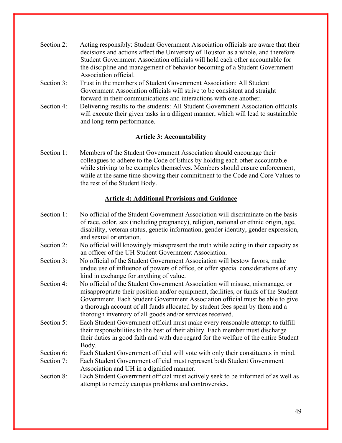| Section 2: | Acting responsibly: Student Government Association officials are aware that their |
|------------|-----------------------------------------------------------------------------------|
|            | decisions and actions affect the University of Houston as a whole, and therefore  |
|            | Student Government Association officials will hold each other accountable for     |
|            | the discipline and management of behavior becoming of a Student Government        |
|            | Association official.                                                             |
| Section 3. | Trust in the members of Student Government Association: All Student               |

- Section 3: Trust in the members of Student Government Association: All Student Government Association officials will strive to be consistent and straight forward in their communications and interactions with one another.
- Section 4: Delivering results to the students: All Student Government Association officials will execute their given tasks in a diligent manner, which will lead to sustainable and long-term performance.

# **Article 3: Accountability**

Section 1: Members of the Student Government Association should encourage their colleagues to adhere to the Code of Ethics by holding each other accountable while striving to be examples themselves. Members should ensure enforcement, while at the same time showing their commitment to the Code and Core Values to the rest of the Student Body.

## **Article 4: Additional Provisions and Guidance**

- Section 1: No official of the Student Government Association will discriminate on the basis of race, color, sex (including pregnancy), religion, national or ethnic origin, age, disability, veteran status, genetic information, gender identity, gender expression, and sexual orientation.
- Section 2: No official will knowingly misrepresent the truth while acting in their capacity as an officer of the UH Student Government Association.
- Section 3: No official of the Student Government Association will bestow favors, make undue use of influence of powers of office, or offer special considerations of any kind in exchange for anything of value.
- Section 4: No official of the Student Government Association will misuse, mismanage, or misappropriate their position and/or equipment, facilities, or funds of the Student Government. Each Student Government Association official must be able to give a thorough account of all funds allocated by student fees spent by them and a thorough inventory of all goods and/or services received.
- Section 5: Each Student Government official must make every reasonable attempt to fulfill their responsibilities to the best of their ability. Each member must discharge their duties in good faith and with due regard for the welfare of the entire Student Body.
- Section 6: Each Student Government official will vote with only their constituents in mind.
- Section 7: Each Student Government official must represent both Student Government Association and UH in a dignified manner.
- Section 8: Each Student Government official must actively seek to be informed of as well as attempt to remedy campus problems and controversies.